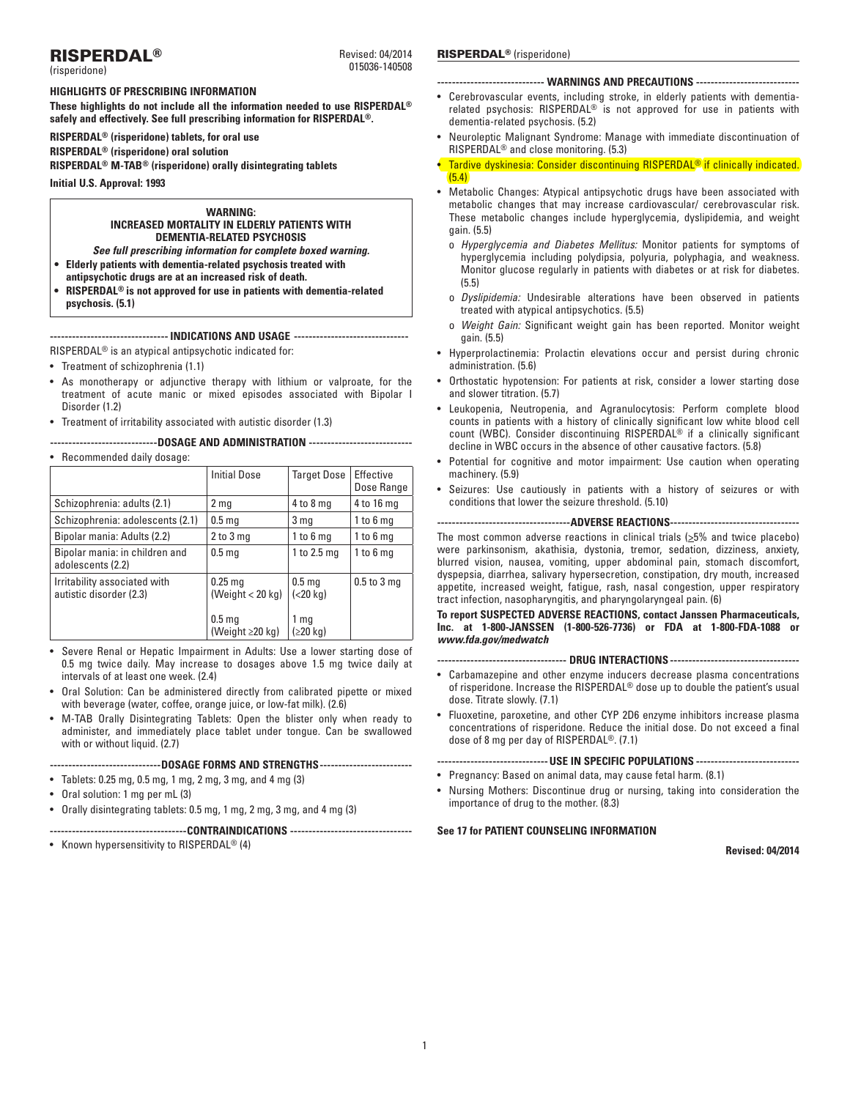# RISPERDAL®

(risperidone)

**Highlights of Prescribing Information** 

**These highlights do not include all the information needed to use RISPERDAL® safely and effectively. See full prescribing information for RISPERDAL®.**

**RISPERDAL® (risperidone) tablets, for oral use**

**RISPERDAL® (risperidone) oral solution**

**RISPERDAL® M-TAB® (risperidone) orally disintegrating tablets**

**Initial U.S. Approval: 1993**

# **WARNING: INCREASED MORTALITY IN ELDERLY PATIENTS WITH DEMENTIA-RELATED PSYCHOSIS**

- *See full prescribing information for complete boxed warning.* **• Elderly patients with dementia-related psychosis treated with**
- **antipsychotic drugs are at an increased risk of death.**
- **• RISPERDAL® is not approved for use in patients with dementia-related psychosis. (5.1)**

**-------------------------------- Indications and Usage -------------------------------**

RISPERDAL® is an atypical antipsychotic indicated for:

- Treatment of schizophrenia (1.1)
- As monotherapy or adjunctive therapy with lithium or valproate, for the treatment of acute manic or mixed episodes associated with Bipolar I Disorder (1.2)
- Treatment of irritability associated with autistic disorder (1.3)

**-----------------------------DOSAGE AND ADMINISTRATION ----------------------------**

# • Recommended daily dosage:

|                                                         | <b>Initial Dose</b>                        | <b>Target Dose</b>             | Effective<br>Dose Range |
|---------------------------------------------------------|--------------------------------------------|--------------------------------|-------------------------|
| Schizophrenia: adults (2.1)                             | 2 <sub>mg</sub>                            | 4 to 8 mg                      | 4 to 16 mg              |
| Schizophrenia: adolescents (2.1)                        | 0.5 <sub>mg</sub>                          | 3 mg                           | $1$ to $6$ mg           |
| Bipolar mania: Adults (2.2)                             | $2$ to $3$ mg                              | $1$ to $6$ mg                  | $1$ to $6$ mg           |
| Bipolar mania: in children and<br>adolescents (2.2)     | 0.5 <sub>mg</sub>                          | 1 to $2.5$ mg                  | $1$ to $6$ mg           |
| Irritability associated with<br>autistic disorder (2.3) | $0.25$ mg<br>(Weight $< 20$ kg)            | 0.5 <sub>mg</sub><br>(< 20 kg) | $0.5$ to $3$ mg         |
|                                                         | 0.5 <sub>mg</sub><br>(Weight $\geq$ 20 kg) | 1 mg<br>(≥20 kg)               |                         |

- Severe Renal or Hepatic Impairment in Adults: Use a lower starting dose of 0.5 mg twice daily. May increase to dosages above 1.5 mg twice daily at intervals of at least one week. (2.4)
- Oral Solution: Can be administered directly from calibrated pipette or mixed with beverage (water, coffee, orange juice, or low-fat milk). (2.6)
- M-TAB Orally Disintegrating Tablets: Open the blister only when ready to administer, and immediately place tablet under tongue. Can be swallowed with or without liquid. (2.7)

## **------------------------------Dosage Forms and Strengths-------------------------**

- • Tablets: 0.25 mg, 0.5 mg, 1 mg, 2 mg, 3 mg, and 4 mg (3)
- • Oral solution: 1 mg per mL (3)
- • Orally disintegrating tablets: 0.5 mg, 1 mg, 2 mg, 3 mg, and 4 mg (3)

# **-------------------------------------Contraindications ---------------------------------**

• Known hypersensitivity to RISPERDAL<sup>®</sup> (4)

# Revised: 04/2014 RISPERDAL<sup>®</sup> (risperidone)

015036-140508

# **----------------------------- Warnings and Precautions ----------------------------**

- • Cerebrovascular events, including stroke, in elderly patients with dementiarelated psychosis: RISPERDAL® is not approved for use in patients with dementia-related psychosis. (5.2)
- • Neuroleptic Malignant Syndrome: Manage with immediate discontinuation of RISPERDAL® and close monitoring. (5.3)
- Tardive dyskinesia: Consider discontinuing RISPERDAL<sup>®</sup> if clinically indicated. (5.4)
- Metabolic Changes: Atypical antipsychotic drugs have been associated with metabolic changes that may increase cardiovascular/ cerebrovascular risk. These metabolic changes include hyperglycemia, dyslipidemia, and weight gain. (5.5)
	- o *Hyperglycemia and Diabetes Mellitus:* Monitor patients for symptoms of hyperglycemia including polydipsia, polyuria, polyphagia, and weakness. Monitor glucose regularly in patients with diabetes or at risk for diabetes. (5.5)
	- o *Dyslipidemia:* Undesirable alterations have been observed in patients treated with atypical antipsychotics. (5.5)
	- o *Weight Gain:* Significant weight gain has been reported. Monitor weight gain. (5.5)
- Hyperprolactinemia: Prolactin elevations occur and persist during chronic administration. (5.6)
- Orthostatic hypotension: For patients at risk, consider a lower starting dose and slower titration. (5.7)
- Leukopenia, Neutropenia, and Agranulocytosis: Perform complete blood counts in patients with a history of clinically significant low white blood cell count (WBC). Consider discontinuing RISPERDAL® if a clinically significant decline in WBC occurs in the absence of other causative factors. (5.8)
- Potential for cognitive and motor impairment: Use caution when operating machinery. (5.9)
- • Seizures: Use cautiously in patients with a history of seizures or with conditions that lower the seizure threshold. (5.10)

## **------------------------------------Adverse Reactions-----------------------------------**

The most common adverse reactions in clinical trials  $(25\%$  and twice placebo) were parkinsonism, akathisia, dystonia, tremor, sedation, dizziness, anxiety, blurred vision, nausea, vomiting, upper abdominal pain, stomach discomfort, dyspepsia, diarrhea, salivary hypersecretion, constipation, dry mouth, increased appetite, increased weight, fatigue, rash, nasal congestion, upper respiratory tract infection, nasopharyngitis, and pharyngolaryngeal pain. (6)

**To report SUSPECTED ADVERSE REACTIONS, contact Janssen Pharmaceuticals, Inc. at 1-800-JANSSEN (1-800-526-7736) or FDA at 1-800-FDA-1088 or**  *www.fda.gov/medwatch*

**----------------------------------- Drug Interactions -----------------------------------**

- Carbamazepine and other enzyme inducers decrease plasma concentrations of risperidone. Increase the RISPERDAL® dose up to double the patient's usual dose. Titrate slowly. (7.1)
- • Fluoxetine, paroxetine, and other CYP 2D6 enzyme inhibitors increase plasma concentrations of risperidone. Reduce the initial dose. Do not exceed a final dose of 8 mg per day of RISPERDAL®. (7.1)

**------------------------------Use in specific Populations ----------------------------**

- Pregnancy: Based on animal data, may cause fetal harm. (8.1)
- Nursing Mothers: Discontinue drug or nursing, taking into consideration the importance of drug to the mother. (8.3)

## **See 17 for PATIENT COUNSELING INFORMATION**

**Revised: 04/2014**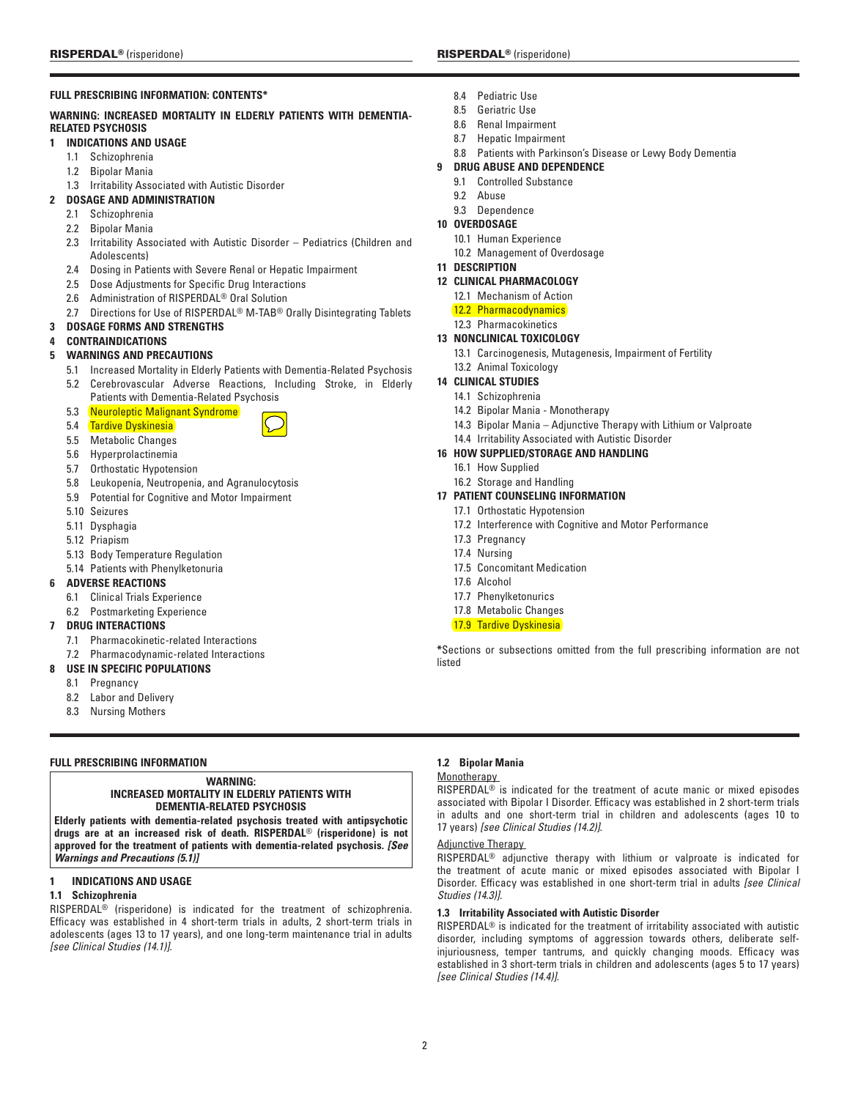# **Full Prescribing Information: Contents\***

# **WARNING: INCREASED MORTALITY IN ELDERLY PATIENTS WITH DEMENTIA-RELATED PSYCHOSIS**

# **1 Indications and Usage**

- 1.1 Schizophrenia
- 1.2 Bipolar Mania
- 1.3 Irritability Associated with Autistic Disorder
- **2 Dosage and Administration**
	- 2.1 Schizophrenia
	- 2.2 Bipolar Mania
	- 2.3 Irritability Associated with Autistic Disorder Pediatrics (Children and Adolescents)
	- 2.4 Dosing in Patients with Severe Renal or Hepatic Impairment
	- 2.5 Dose Adjustments for Specific Drug Interactions
	- 2.6 Administration of RISPERDAL® Oral Solution
	- 2.7 Directions for Use of RISPERDAL<sup>®</sup> M-TAB<sup>®</sup> Orally Disintegrating Tablets

# **3 Dosage Forms and Strengths**

# **4 Contraindications**

# **5 Warnings and Precautions**

- 5.1 Increased Mortality in Elderly Patients with Dementia-Related Psychosis
- 5.2 Cerebrovascular Adverse Reactions, Including Stroke, in Elderly Patients with Dementia-Related Psychosis
- 5.3 Neuroleptic Malignant Syndrome
- 5.4 **Tardive Dyskinesia**
- 5.5 Metabolic Changes
- 5.6 Hyperprolactinemia
- 5.7 Orthostatic Hypotension
- 5.8 Leukopenia, Neutropenia, and Agranulocytosis
- 5.9 Potential for Cognitive and Motor Impairment
- 5.10 Seizures
- 5.11 Dysphagia
- 5.12 Priapism
- 5.13 Body Temperature Regulation
- 5.14 Patients with Phenylketonuria

# **6 adverse reactions**

- 6.1 Clinical Trials Experience
- 6.2 Postmarketing Experience

# **7 Drug Interactions**

- 7.1 Pharmacokinetic-related Interactions
- 7.2 Pharmacodynamic-related Interactions

# **8 Use in Specific Populations**

- 8.1 Pregnancy
- 8.2 Labor and Delivery
- 8.3 Nursing Mothers

# **FULL PRESCRIBING INFORMATION**

## **WARNING: INCREASED MORTALITY IN ELDERLY PATIENTS WITH DEMENTIA-RELATED PSYCHOSIS**

**Elderly patients with dementia-related psychosis treated with antipsychotic drugs are at an increased risk of death. RISPERDAL**® **(risperidone) is not approved for the treatment of patients with dementia-related psychosis.** *[See Warnings and Precautions (5.1)]*

# **1 Indications and Usage**

# **1.1 Schizophrenia**

RISPERDAL® (risperidone) is indicated for the treatment of schizophrenia. Efficacy was established in 4 short-term trials in adults, 2 short-term trials in adolescents (ages 13 to 17 years), and one long-term maintenance trial in adults *[see Clinical Studies (14.1)]*.

- 8.4 Pediatric Use
- 8.5 Geriatric Use
- 8.6 Renal Impairment
- 8.7 Hepatic Impairment
- 8.8 Patients with Parkinson's Disease or Lewy Body Dementia
- **9 DRUG ABUSE AND DEPENDENCE**
	- 9.1 Controlled Substance
	- 92 Ahuse
	- 9.3 Dependence
- **10 OVERDOSAGE**
	- 10.1 Human Experience
	- 10.2 Management of Overdosage

# **11 DESCRIPTION**

- **12 CLINICAL PHARMACOLOGY**
	- 12.1 Mechanism of Action
	- 12.2 Pharmacodynamics
	- 12.3 Pharmacokinetics

# **13 NONCLINICAL TOXICOLOGY**

- 13.1 Carcinogenesis, Mutagenesis, Impairment of Fertility
- 13.2 Animal Toxicology
- **14 CLINICAL STUDIES**
	- 14.1 Schizophrenia
	- 14.2 Bipolar Mania Monotherapy
	- 14.3 Bipolar Mania Adjunctive Therapy with Lithium or Valproate

# 14.4 Irritability Associated with Autistic Disorder

- **16 HOW SUPPLIED/STORAGE AND HANDLING**
	- 16.1 How Supplied
	- 16.2 Storage and Handling

# **17 PATIENT COUNSELING INFORMATION**

- 17.1 Orthostatic Hypotension
- 17.2 Interference with Cognitive and Motor Performance
- 17.3 Pregnancy
- 17.4 Nursing
- 17.5 Concomitant Medication
- 17.6 Alcohol
- 17.7 Phenylketonurics
- 17.8 Metabolic Changes
- **17.9 Tardive Dyskinesia**

**\***Sections or subsections omitted from the full prescribing information are not listed

# **1.2 Bipolar Mania**

# **Monotherapy**

RISPERDAL® is indicated for the treatment of acute manic or mixed episodes associated with Bipolar I Disorder. Efficacy was established in 2 short-term trials in adults and one short-term trial in children and adolescents (ages 10 to 17 years) *[see Clinical Studies (14.2)]*.

# Adjunctive Therapy

RISPERDAL® adjunctive therapy with lithium or valproate is indicated for the treatment of acute manic or mixed episodes associated with Bipolar I Disorder. Efficacy was established in one short-term trial in adults *[see Clinical Studies (14.3)]*.

## **1.3 Irritability Associated with Autistic Disorder**

RISPERDAL® is indicated for the treatment of irritability associated with autistic disorder, including symptoms of aggression towards others, deliberate selfinjuriousness, temper tantrums, and quickly changing moods. Efficacy was established in 3 short-term trials in children and adolescents (ages 5 to 17 years) *[see Clinical Studies (14.4)]*.

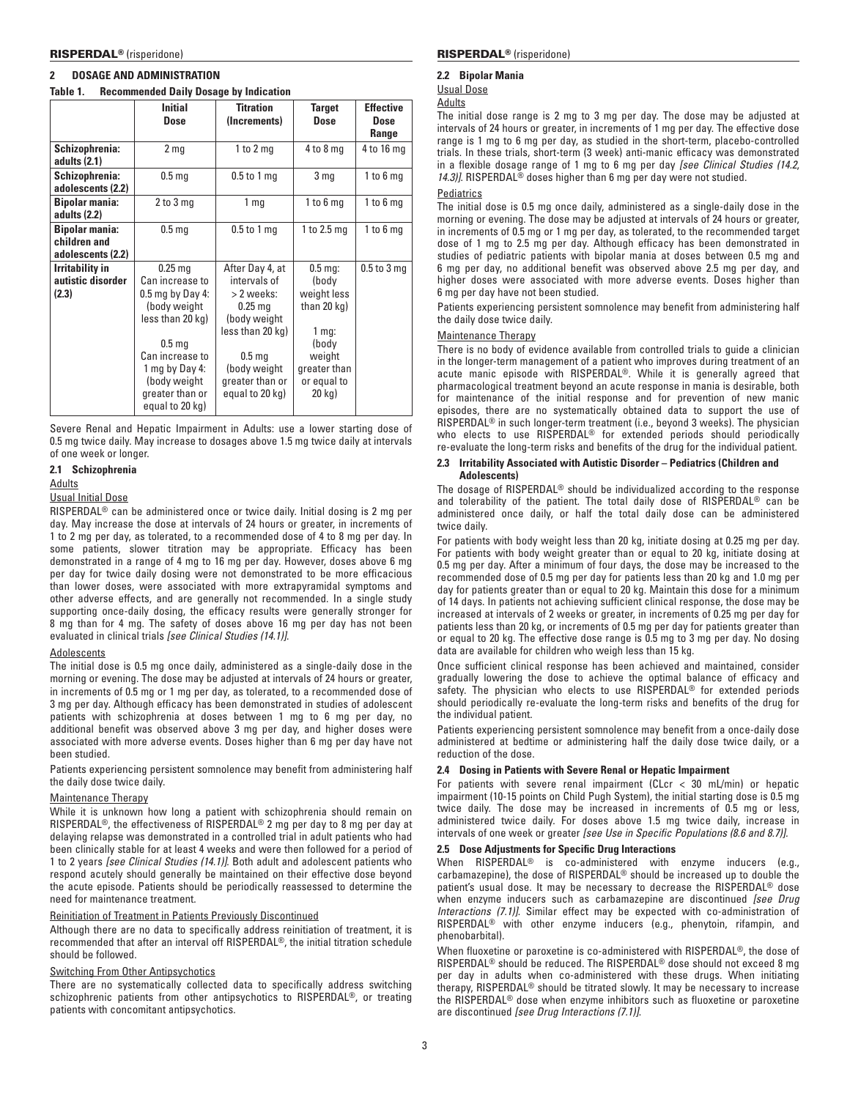# **2 Dosage and Administration**

# **Table 1. Recommended Daily Dosage by Indication**

|                                                            | <b>Initial</b><br><b>Dose</b>                                                                                                                                                                            | <b>Titration</b><br>(Increments)                                                                                                                                          | <b>Target</b><br><b>Dose</b>                                                                                              | <b>Effective</b><br><b>Dose</b><br>Range |
|------------------------------------------------------------|----------------------------------------------------------------------------------------------------------------------------------------------------------------------------------------------------------|---------------------------------------------------------------------------------------------------------------------------------------------------------------------------|---------------------------------------------------------------------------------------------------------------------------|------------------------------------------|
| Schizophrenia:<br>adults (2.1)                             | 2 <sub>mg</sub>                                                                                                                                                                                          | 1 to $2$ mg                                                                                                                                                               | $4$ to $8$ mg                                                                                                             | 4 to 16 mg                               |
| Schizophrenia:<br>adolescents (2.2)                        | 0.5 <sub>mg</sub>                                                                                                                                                                                        | $0.5$ to 1 mg                                                                                                                                                             | 3 <sub>mg</sub>                                                                                                           | $1$ to $6$ mg                            |
| <b>Bipolar mania:</b><br>adults (2.2)                      | $2$ to $3$ mg                                                                                                                                                                                            | 1 <sub>mg</sub>                                                                                                                                                           | 1 to $6 \text{ mg}$                                                                                                       | $1$ to $6$ mg                            |
| <b>Bipolar mania:</b><br>children and<br>adolescents (2.2) | 0.5 <sub>mg</sub>                                                                                                                                                                                        | $0.5$ to 1 mg                                                                                                                                                             | 1 to 2.5 mg                                                                                                               | $1$ to $6$ mg                            |
| <b>Irritability in</b><br>autistic disorder<br>(2.3)       | $0.25$ mg<br>Can increase to<br>$0.5$ mg by Day 4:<br>(body weight)<br>less than 20 kg)<br>0.5 <sub>mg</sub><br>Can increase to<br>1 mg by Day 4:<br>(body weight)<br>greater than or<br>equal to 20 kg) | After Day 4, at<br>intervals of<br>> 2 weeks:<br>$0.25$ mg<br>(body weight<br>less than 20 kg)<br>0.5 <sub>mg</sub><br>(body weight<br>greater than or<br>equal to 20 kg) | $0.5$ mq:<br>(body<br>weight less<br>than $20$ kg)<br>$1$ mg:<br>(body<br>weight<br>greater than<br>or equal to<br>20 kg) | $0.5$ to $3$ mg                          |

Severe Renal and Hepatic Impairment in Adults: use a lower starting dose of 0.5 mg twice daily. May increase to dosages above 1.5 mg twice daily at intervals of one week or longer.

## **2.1 Schizophrenia**

## Adults

### Usual Initial Dose

RISPERDAL® can be administered once or twice daily. Initial dosing is 2 mg per day. May increase the dose at intervals of 24 hours or greater, in increments of 1 to 2 mg per day, as tolerated, to a recommended dose of 4 to 8 mg per day. In some patients, slower titration may be appropriate. Efficacy has been demonstrated in a range of 4 mg to 16 mg per day. However, doses above 6 mg per day for twice daily dosing were not demonstrated to be more efficacious than lower doses, were associated with more extrapyramidal symptoms and other adverse effects, and are generally not recommended. In a single study supporting once-daily dosing, the efficacy results were generally stronger for 8 mg than for 4 mg. The safety of doses above 16 mg per day has not been evaluated in clinical trials *[see Clinical Studies (14.1)]*.

## **Adolescents**

The initial dose is 0.5 mg once daily, administered as a single-daily dose in the morning or evening. The dose may be adjusted at intervals of 24 hours or greater, in increments of 0.5 mg or 1 mg per day, as tolerated, to a recommended dose of 3 mg per day. Although efficacy has been demonstrated in studies of adolescent patients with schizophrenia at doses between 1 mg to 6 mg per day, no additional benefit was observed above 3 mg per day, and higher doses were associated with more adverse events. Doses higher than 6 mg per day have not been studied.

Patients experiencing persistent somnolence may benefit from administering half the daily dose twice daily.

# Maintenance Therapy

While it is unknown how long a patient with schizophrenia should remain on RISPERDAL®, the effectiveness of RISPERDAL® 2 mg per day to 8 mg per day at delaying relapse was demonstrated in a controlled trial in adult patients who had been clinically stable for at least 4 weeks and were then followed for a period of 1 to 2 years *[see Clinical Studies (14.1)]*. Both adult and adolescent patients who respond acutely should generally be maintained on their effective dose beyond the acute episode. Patients should be periodically reassessed to determine the need for maintenance treatment.

## Reinitiation of Treatment in Patients Previously Discontinued

Although there are no data to specifically address reinitiation of treatment, it is recommended that after an interval off RISPERDAL®, the initial titration schedule should be followed.

# Switching From Other Antipsychotics

There are no systematically collected data to specifically address switching schizophrenic patients from other antipsychotics to RISPERDAL®, or treating patients with concomitant antipsychotics.

## **2.2 Bipolar Mania**

Usual Dose

# Adults

The initial dose range is 2 mg to 3 mg per day. The dose may be adjusted at intervals of 24 hours or greater, in increments of 1 mg per day. The effective dose range is 1 mg to 6 mg per day, as studied in the short-term, placebo-controlled trials. In these trials, short-term (3 week) anti-manic efficacy was demonstrated in a flexible dosage range of 1 mg to 6 mg per day *[see Clinical Studies (14.2*, 14.3)]. RISPERDAL<sup>®</sup> doses higher than 6 mg per day were not studied.

## **Pediatrics**

The initial dose is 0.5 mg once daily, administered as a single-daily dose in the morning or evening. The dose may be adjusted at intervals of 24 hours or greater, in increments of 0.5 mg or 1 mg per day, as tolerated, to the recommended target dose of 1 mg to 2.5 mg per day. Although efficacy has been demonstrated in studies of pediatric patients with bipolar mania at doses between 0.5 mg and 6 mg per day, no additional benefit was observed above 2.5 mg per day, and higher doses were associated with more adverse events. Doses higher than 6 mg per day have not been studied.

Patients experiencing persistent somnolence may benefit from administering half the daily dose twice daily.

## Maintenance Therapy

There is no body of evidence available from controlled trials to guide a clinician in the longer-term management of a patient who improves during treatment of an acute manic episode with RISPERDAL®. While it is generally agreed that pharmacological treatment beyond an acute response in mania is desirable, both for maintenance of the initial response and for prevention of new manic episodes, there are no systematically obtained data to support the use of RISPERDAL® in such longer-term treatment (i.e., beyond 3 weeks). The physician who elects to use RISPERDAL® for extended periods should periodically re-evaluate the long-term risks and benefits of the drug for the individual patient.

## **2.3 Irritability Associated with Autistic Disorder – Pediatrics (Children and Adolescents)**

The dosage of RISPERDAL® should be individualized according to the response and tolerability of the patient. The total daily dose of RISPERDAL® can be administered once daily, or half the total daily dose can be administered twice daily.

For patients with body weight less than 20 kg, initiate dosing at 0.25 mg per day. For patients with body weight greater than or equal to 20 kg, initiate dosing at 0.5 mg per day. After a minimum of four days, the dose may be increased to the recommended dose of 0.5 mg per day for patients less than 20 kg and 1.0 mg per day for patients greater than or equal to 20 kg. Maintain this dose for a minimum of 14 days. In patients not achieving sufficient clinical response, the dose may be increased at intervals of 2 weeks or greater, in increments of 0.25 mg per day for patients less than 20 kg, or increments of 0.5 mg per day for patients greater than or equal to 20 kg. The effective dose range is 0.5 mg to 3 mg per day. No dosing data are available for children who weigh less than 15 kg.

Once sufficient clinical response has been achieved and maintained, consider gradually lowering the dose to achieve the optimal balance of efficacy and safety. The physician who elects to use RISPERDAL<sup>®</sup> for extended periods should periodically re-evaluate the long-term risks and benefits of the drug for the individual patient.

Patients experiencing persistent somnolence may benefit from a once-daily dose administered at bedtime or administering half the daily dose twice daily, or a reduction of the dose.

# **2.4 Dosing in Patients with Severe Renal or Hepatic Impairment**

For patients with severe renal impairment (CLcr  $<$  30 mL/min) or hepatic impairment (10-15 points on Child Pugh System), the initial starting dose is 0.5 mg twice daily. The dose may be increased in increments of 0.5 mg or less, administered twice daily. For doses above 1.5 mg twice daily, increase in intervals of one week or greater *[see Use in Specific Populations (8.6 and 8.7)].*

# **2.5 Dose Adjustments for Specific Drug Interactions**

When RISPERDAL® is co-administered with enzyme inducers (e.g., carbamazepine), the dose of RISPERDAL® should be increased up to double the patient's usual dose. It may be necessary to decrease the RISPERDAL® dose when enzyme inducers such as carbamazepine are discontinued *[see Drug Interactions (7.1)]*. Similar effect may be expected with co-administration of RISPERDAL® with other enzyme inducers (e.g., phenytoin, rifampin, and phenobarbital).

When fluoxetine or paroxetine is co-administered with RISPERDAL®, the dose of RISPERDAL® should be reduced. The RISPERDAL® dose should not exceed 8 mg per day in adults when co-administered with these drugs. When initiating therapy, RISPERDAL® should be titrated slowly. It may be necessary to increase the RISPERDAL® dose when enzyme inhibitors such as fluoxetine or paroxetine are discontinued *[see Drug Interactions (7.1)]*.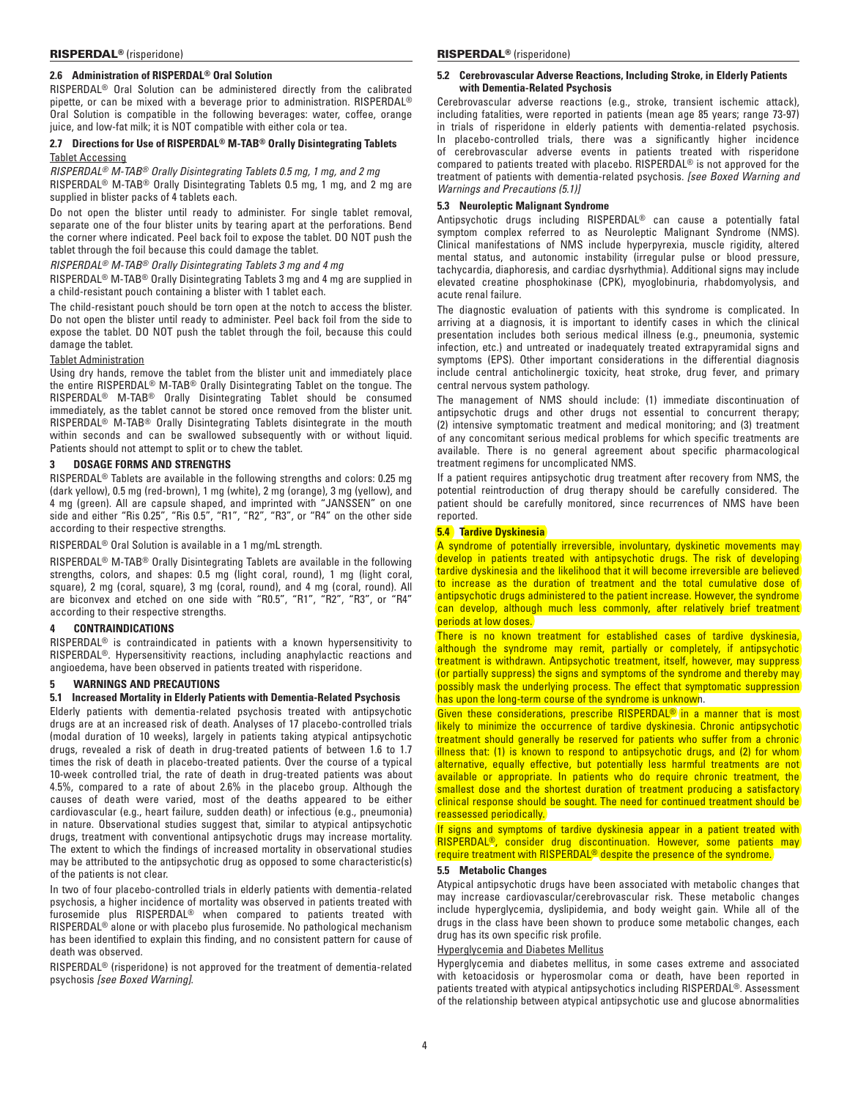# **2.6 Administration of RISPERDAL® Oral Solution**

RISPERDAL® Oral Solution can be administered directly from the calibrated pipette, or can be mixed with a beverage prior to administration. RISPERDAL® Oral Solution is compatible in the following beverages: water, coffee, orange juice, and low-fat milk; it is NOT compatible with either cola or tea.

# **2.7 Directions for Use of RISPERDAL® M-TAB® Orally Disintegrating Tablets** Tablet Accessing

*RISPERDAL® M-TAB® Orally Disintegrating Tablets 0.5 mg, 1 mg, and 2 mg* RISPERDAL® M-TAB® Orally Disintegrating Tablets 0.5 mg, 1 mg, and 2 mg are supplied in blister packs of 4 tablets each.

Do not open the blister until ready to administer. For single tablet removal, separate one of the four blister units by tearing apart at the perforations. Bend the corner where indicated. Peel back foil to expose the tablet. DO NOT push the tablet through the foil because this could damage the tablet.

*RISPERDAL® M-TAB® Orally Disintegrating Tablets 3 mg and 4 mg*

RISPERDAL® M-TAB® Orally Disintegrating Tablets 3 mg and 4 mg are supplied in a child-resistant pouch containing a blister with 1 tablet each.

The child-resistant pouch should be torn open at the notch to access the blister. Do not open the blister until ready to administer. Peel back foil from the side to expose the tablet. DO NOT push the tablet through the foil, because this could damage the tablet.

## Tablet Administration

Using dry hands, remove the tablet from the blister unit and immediately place the entire RISPERDAL® M-TAB® Orally Disintegrating Tablet on the tongue. The RISPERDAL® M-TAB® Orally Disintegrating Tablet should be consumed immediately, as the tablet cannot be stored once removed from the blister unit. RISPERDAL® M-TAB® Orally Disintegrating Tablets disintegrate in the mouth within seconds and can be swallowed subsequently with or without liquid. Patients should not attempt to split or to chew the tablet.

## **3 Dosage Forms and Strengths**

RISPERDAL® Tablets are available in the following strengths and colors: 0.25 mg (dark yellow), 0.5 mg (red-brown), 1 mg (white), 2 mg (orange), 3 mg (yellow), and 4 mg (green). All are capsule shaped, and imprinted with "JANSSEN" on one side and either "Ris 0.25", "Ris 0.5", "R1", "R2", "R3", or "R4" on the other side according to their respective strengths.

## RISPERDAL® Oral Solution is available in a 1 mg/mL strength.

RISPERDAL® M-TAB® Orally Disintegrating Tablets are available in the following strengths, colors, and shapes: 0.5 mg (light coral, round), 1 mg (light coral, square), 2 mg (coral, square), 3 mg (coral, round), and 4 mg (coral, round). All are biconvex and etched on one side with "R0.5", "R1", "R2", "R3", or "R4" according to their respective strengths.

# **4 Contraindications**

RISPERDAL® is contraindicated in patients with a known hypersensitivity to RISPERDAL®. Hypersensitivity reactions, including anaphylactic reactions and angioedema, have been observed in patients treated with risperidone.

## **5 Warnings and Precautions**

## **5.1 Increased Mortality in Elderly Patients with Dementia-Related Psychosis**

Elderly patients with dementia-related psychosis treated with antipsychotic drugs are at an increased risk of death. Analyses of 17 placebo-controlled trials (modal duration of 10 weeks), largely in patients taking atypical antipsychotic drugs, revealed a risk of death in drug-treated patients of between 1.6 to 1.7 times the risk of death in placebo-treated patients. Over the course of a typical 10‑week controlled trial, the rate of death in drug-treated patients was about 4.5%, compared to a rate of about 2.6% in the placebo group. Although the causes of death were varied, most of the deaths appeared to be either cardiovascular (e.g., heart failure, sudden death) or infectious (e.g., pneumonia) in nature. Observational studies suggest that, similar to atypical antipsychotic drugs, treatment with conventional antipsychotic drugs may increase mortality. The extent to which the findings of increased mortality in observational studies may be attributed to the antipsychotic drug as opposed to some characteristic(s) of the patients is not clear.

In two of four placebo-controlled trials in elderly patients with dementia-related psychosis, a higher incidence of mortality was observed in patients treated with furosemide plus RISPERDAL® when compared to patients treated with RISPERDAL® alone or with placebo plus furosemide. No pathological mechanism has been identified to explain this finding, and no consistent pattern for cause of death was observed.

RISPERDAL<sup>®</sup> (risperidone) is not approved for the treatment of dementia-related psychosis *[see Boxed Warning]*.

#### RISPERDAL<sup>®</sup> (risperidone) and the control of the control of the RISPERDAL<sup>®</sup> (risperidone)

## **5.2 Cerebrovascular Adverse Reactions, Including Stroke, in Elderly Patients with Dementia-Related Psychosis**

Cerebrovascular adverse reactions (e.g., stroke, transient ischemic attack), including fatalities, were reported in patients (mean age 85 years; range 73-97) in trials of risperidone in elderly patients with dementia-related psychosis. In placebo‑controlled trials, there was a significantly higher incidence of cerebrovascular adverse events in patients treated with risperidone compared to patients treated with placebo. RISPERDAL® is not approved for the treatment of patients with dementia-related psychosis. *[see Boxed Warning and Warnings and Precautions (5.1)]* 

# **5.3 Neuroleptic Malignant Syndrome**

Antipsychotic drugs including RISPERDAL® can cause a potentially fatal symptom complex referred to as Neuroleptic Malignant Syndrome (NMS). Clinical manifestations of NMS include hyperpyrexia, muscle rigidity, altered mental status, and autonomic instability (irregular pulse or blood pressure, tachycardia, diaphoresis, and cardiac dysrhythmia). Additional signs may include elevated creatine phosphokinase (CPK), myoglobinuria, rhabdomyolysis, and acute renal failure.

The diagnostic evaluation of patients with this syndrome is complicated. In arriving at a diagnosis, it is important to identify cases in which the clinical presentation includes both serious medical illness (e.g., pneumonia, systemic infection, etc.) and untreated or inadequately treated extrapyramidal signs and symptoms (EPS). Other important considerations in the differential diagnosis include central anticholinergic toxicity, heat stroke, drug fever, and primary central nervous system pathology.

The management of NMS should include: (1) immediate discontinuation of antipsychotic drugs and other drugs not essential to concurrent therapy; (2) intensive symptomatic treatment and medical monitoring; and (3) treatment of any concomitant serious medical problems for which specific treatments are available. There is no general agreement about specific pharmacological treatment regimens for uncomplicated NMS.

If a patient requires antipsychotic drug treatment after recovery from NMS, the potential reintroduction of drug therapy should be carefully considered. The patient should be carefully monitored, since recurrences of NMS have been reported.

## **5.4 Tardive Dyskinesia**

A syndrome of potentially irreversible, involuntary, dyskinetic movements may develop in patients treated with antipsychotic drugs. The risk of developing tardive dyskinesia and the likelihood that it will become irreversible are believed to increase as the duration of treatment and the total cumulative dose of antipsychotic drugs administered to the patient increase. However, the syndrome can develop, although much less commonly, after relatively brief treatment periods at low doses.

There is no known treatment for established cases of tardive dyskinesia, although the syndrome may remit, partially or completely, if antipsychotic treatment is withdrawn. Antipsychotic treatment, itself, however, may suppress (or partially suppress) the signs and symptoms of the syndrome and thereby may possibly mask the underlying process. The effect that symptomatic suppression has upon the long-term course of the syndrome is unknown.

Given these considerations, prescribe RISPERDAL<sup>®</sup> in a manner that is most likely to minimize the occurrence of tardive dyskinesia. Chronic antipsychotic treatment should generally be reserved for patients who suffer from a chronic illness that: (1) is known to respond to antipsychotic drugs, and (2) for whom alternative, equally effective, but potentially less harmful treatments are not available or appropriate. In patients who do require chronic treatment, the smallest dose and the shortest duration of treatment producing a satisfactory clinical response should be sought. The need for continued treatment should be reassessed periodically.

If signs and symptoms of tardive dyskinesia appear in a patient treated with RISPERDAL®, consider drug discontinuation. However, some patients may require treatment with RISPERDAL<sup>®</sup> despite the presence of the syndrome.

# **5.5 Metabolic Changes**

Atypical antipsychotic drugs have been associated with metabolic changes that may increase cardiovascular/cerebrovascular risk. These metabolic changes include hyperglycemia, dyslipidemia, and body weight gain. While all of the drugs in the class have been shown to produce some metabolic changes, each drug has its own specific risk profile.

### Hyperglycemia and Diabetes Mellitus

Hyperglycemia and diabetes mellitus, in some cases extreme and associated with ketoacidosis or hyperosmolar coma or death, have been reported in patients treated with atypical antipsychotics including RISPERDAL®. Assessment of the relationship between atypical antipsychotic use and glucose abnormalities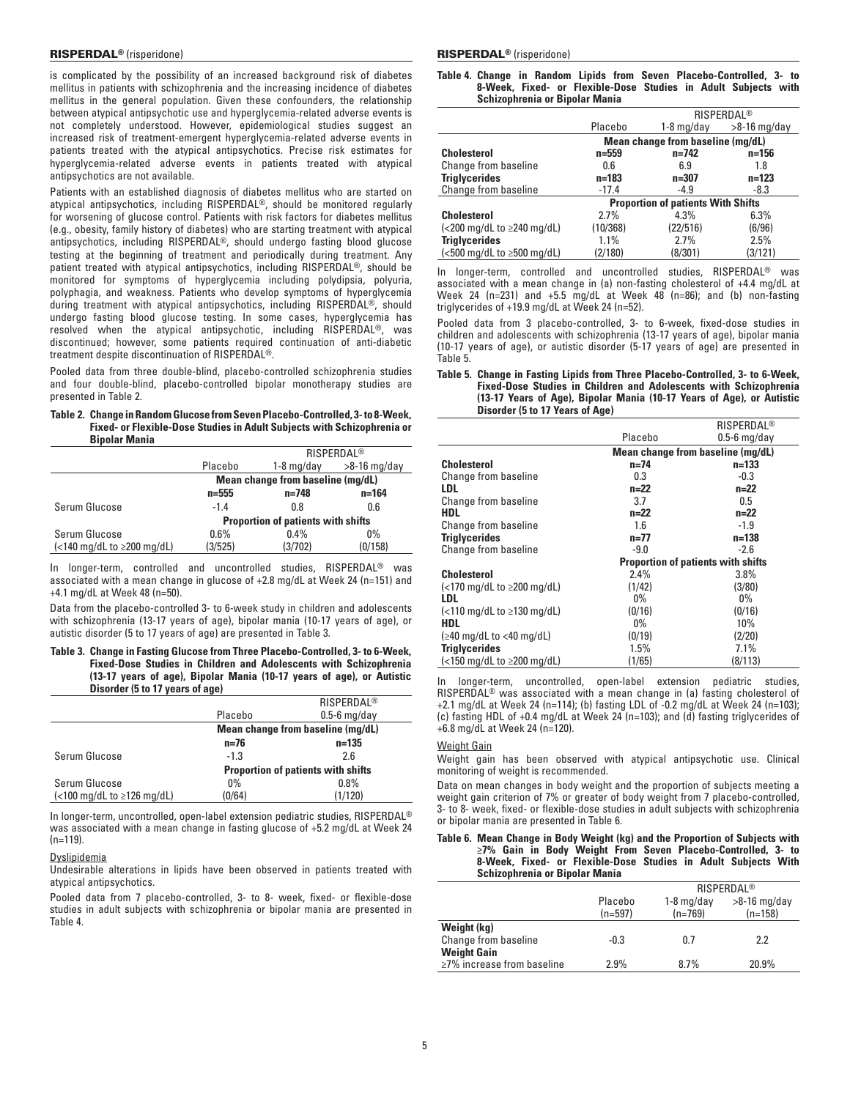is complicated by the possibility of an increased background risk of diabetes mellitus in patients with schizophrenia and the increasing incidence of diabetes mellitus in the general population. Given these confounders, the relationship between atypical antipsychotic use and hyperglycemia-related adverse events is not completely understood. However, epidemiological studies suggest an increased risk of treatment-emergent hyperglycemia-related adverse events in patients treated with the atypical antipsychotics. Precise risk estimates for hyperglycemia-related adverse events in patients treated with atypical antipsychotics are not available.

Patients with an established diagnosis of diabetes mellitus who are started on atypical antipsychotics, including RISPERDAL®, should be monitored regularly for worsening of glucose control. Patients with risk factors for diabetes mellitus (e.g., obesity, family history of diabetes) who are starting treatment with atypical antipsychotics, including RISPERDAL®, should undergo fasting blood glucose testing at the beginning of treatment and periodically during treatment. Any patient treated with atypical antipsychotics, including RISPERDAL®, should be monitored for symptoms of hyperglycemia including polydipsia, polyuria, polyphagia, and weakness. Patients who develop symptoms of hyperglycemia during treatment with atypical antipsychotics, including RISPERDAL®, should undergo fasting blood glucose testing. In some cases, hyperglycemia has resolved when the atypical antipsychotic, including RISPERDAL®, was discontinued; however, some patients required continuation of anti-diabetic treatment despite discontinuation of RISPERDAL®.

Pooled data from three double-blind, placebo-controlled schizophrenia studies and four double-blind, placebo-controlled bipolar monotherapy studies are presented in Table 2.

### **Table 2. Change in Random Glucose from Seven Placebo-Controlled, 3- to 8-Week, Fixed- or Flexible-Dose Studies in Adult Subjects with Schizophrenia or Bipolar Mania**

|                                                                                |                                   |                                           | <b>RISPERDAL<sup>®</sup></b> |  |
|--------------------------------------------------------------------------------|-----------------------------------|-------------------------------------------|------------------------------|--|
|                                                                                | Placebo                           | $1-8$ mg/day                              | $>8-16$ mg/day               |  |
|                                                                                | Mean change from baseline (mg/dL) |                                           |                              |  |
|                                                                                | $n = 555$                         | $n = 748$                                 | $n = 164$                    |  |
| Serum Glucose                                                                  | $-1.4$                            | 0.8                                       | 0.6                          |  |
|                                                                                |                                   | <b>Proportion of patients with shifts</b> |                              |  |
| Serum Glucose                                                                  | 0.6%                              | $0.4\%$                                   | 0%                           |  |
| $\left\langle \langle 140 \text{ mg/dL} \tan 2200 \text{ mg/dL} \right\rangle$ | (3/525)                           | (3/702)                                   | (0/158)                      |  |
|                                                                                |                                   |                                           |                              |  |

In longer-term, controlled and uncontrolled studies, RISPERDAL® was associated with a mean change in glucose of +2.8 mg/dL at Week 24 (n=151) and +4.1 mg/dL at Week 48 (n=50).

Data from the placebo-controlled 3- to 6-week study in children and adolescents with schizophrenia (13-17 years of age), bipolar mania (10-17 years of age), or autistic disorder (5 to 17 years of age) are presented in Table 3.

## **Table 3. Change in Fasting Glucose from Three Placebo-Controlled, 3- to 6-Week, Fixed-Dose Studies in Children and Adolescents with Schizophrenia (13-17 years of age), Bipolar Mania (10-17 years of age), or Autistic Disorder (5 to 17 years of age)**

|                                                                                |         | <b>RISPERDAL®</b>                         |
|--------------------------------------------------------------------------------|---------|-------------------------------------------|
|                                                                                | Placebo | $0.5-6$ mg/day                            |
|                                                                                |         | Mean change from baseline (mg/dL)         |
|                                                                                | n=76    | $n = 135$                                 |
| Serum Glucose                                                                  | $-1.3$  | 2.6                                       |
|                                                                                |         | <b>Proportion of patients with shifts</b> |
| Serum Glucose                                                                  | $0\%$   | 0.8%                                      |
| $\left\langle \langle 100 \text{ mg/dL} \tan 2126 \text{ mg/dL} \right\rangle$ | (0/64)  | (1/120)                                   |

In longer-term, uncontrolled, open-label extension pediatric studies, RISPERDAL® was associated with a mean change in fasting glucose of +5.2 mg/dL at Week 24 (n=119).

### Dyslipidemia

Undesirable alterations in lipids have been observed in patients treated with atypical antipsychotics.

Pooled data from 7 placebo-controlled, 3- to 8- week, fixed- or flexible-dose studies in adult subjects with schizophrenia or bipolar mania are presented in Table 4.

|                                       |  |  |  |  | Table 4. Change in Random Lipids from Seven Placebo-Controlled, 3- to |  |
|---------------------------------------|--|--|--|--|-----------------------------------------------------------------------|--|
|                                       |  |  |  |  | 8-Week, Fixed- or Flexible-Dose Studies in Adult Subjects with        |  |
| <b>Schizophrenia or Bipolar Mania</b> |  |  |  |  |                                                                       |  |

|                                                                            |                                           | <b>RISPERDAL<sup>®</sup></b>      |                |  |  |
|----------------------------------------------------------------------------|-------------------------------------------|-----------------------------------|----------------|--|--|
|                                                                            | Placebo                                   | 1-8 mg/day                        | $>8-16$ mg/day |  |  |
|                                                                            |                                           | Mean change from baseline (mg/dL) |                |  |  |
| <b>Cholesterol</b>                                                         | $n = 559$                                 | $n=742$                           | $n = 156$      |  |  |
| Change from baseline                                                       | 0.6                                       | 6.9                               | 1.8            |  |  |
| <b>Triglycerides</b>                                                       | $n = 183$                                 | $n = 307$                         | $n=123$        |  |  |
| Change from baseline                                                       | $-17.4$                                   | $-4.9$                            | -8.3           |  |  |
|                                                                            | <b>Proportion of patients With Shifts</b> |                                   |                |  |  |
| <b>Cholesterol</b>                                                         | 2.7%                                      | 4.3%                              | 6.3%           |  |  |
| $\left\langle \text{<}200\text{ mg/dL} \right.$ to $\geq 240\text{ mg/dL}$ | (10/368)                                  | (22/516)                          | (6/96)         |  |  |
| <b>Triglycerides</b>                                                       | $1.1\%$                                   | 2.7%                              | 2.5%           |  |  |
| $\left\langle 500 \right\rangle$ mg/dL to $\geq 500$ mg/dL)                | (2/180)                                   | (8/301)                           | (3/121)        |  |  |

In longer-term, controlled and uncontrolled studies, RISPERDAL® was associated with a mean change in (a) non-fasting cholesterol of +4.4 mg/dL at Week 24 (n=231) and +5.5 mg/dL at Week 48 (n=86); and (b) non-fasting triglycerides of +19.9 mg/dL at Week 24 (n=52).

Pooled data from 3 placebo-controlled, 3- to 6-week, fixed-dose studies in children and adolescents with schizophrenia (13-17 years of age), bipolar mania (10-17 years of age), or autistic disorder (5-17 years of age) are presented in Table 5.

## **Table 5. Change in Fasting Lipids from Three Placebo-Controlled, 3- to 6-Week, Fixed-Dose Studies in Children and Adolescents with Schizophrenia (13-17 Years of Age), Bipolar Mania (10-17 Years of Age), or Autistic Disorder (5 to 17 Years of Age)**

|                                                                                      |         | RISPERDAL®                                |
|--------------------------------------------------------------------------------------|---------|-------------------------------------------|
|                                                                                      | Placebo | $0.5-6$ mg/day                            |
|                                                                                      |         | Mean change from baseline (mg/dL)         |
| <b>Cholesterol</b>                                                                   | n=74    | $n = 133$                                 |
| Change from baseline                                                                 | 0.3     | $-0.3$                                    |
| <b>LDL</b>                                                                           | $n=22$  | $n=22$                                    |
| Change from baseline                                                                 | 3.7     | 0.5                                       |
| <b>HDL</b>                                                                           | $n=22$  | $n=22$                                    |
| Change from baseline                                                                 | 1.6     | $-1.9$                                    |
| <b>Triglycerides</b>                                                                 | $n=77$  | $n = 138$                                 |
| <b>Change from baseline</b>                                                          | $-9.0$  | $-2.6$                                    |
|                                                                                      |         | <b>Proportion of patients with shifts</b> |
| <b>Cholesterol</b>                                                                   | 2.4%    | $3.8\%$                                   |
| $\left\{ < 170 \right\}$ mg/dL to $\geq 200$ mg/dL)                                  | (1/42)  | (3/80)                                    |
| <b>LDL</b>                                                                           | $0\%$   | $0\%$                                     |
| $\left\langle \langle 110 \text{ mg/dL to } \rangle 130 \text{ mg/dL} \right\rangle$ | (0/16)  | (0/16)                                    |
| HDL                                                                                  | $0\%$   | 10%                                       |
| $\leq 40 \text{ mg/dL}$ to $< 40 \text{ mg/dL}$                                      | (0/19)  | (2/20)                                    |
| <b>Triglycerides</b>                                                                 | 1.5%    | 7.1%                                      |
| $\left($ <150 mg/dL to $\geq$ 200 mg/dL)                                             | (1/65)  | (8/113)                                   |

In longer-term, uncontrolled, open-label extension pediatric studies, RISPERDAL® was associated with a mean change in (a) fasting cholesterol of +2.1 mg/dL at Week 24 (n=114); (b) fasting LDL of  $-0.2$  mg/dL at Week 24 (n=103); (c) fasting HDL of +0.4 mg/dL at Week 24 (n=103); and (d) fasting triglycerides of +6.8 mg/dL at Week 24 (n=120).

## Weight Gain

Weight gain has been observed with atypical antipsychotic use. Clinical monitoring of weight is recommended.

Data on mean changes in body weight and the proportion of subjects meeting a weight gain criterion of 7% or greater of body weight from 7 placebo-controlled, 3- to 8- week, fixed- or flexible-dose studies in adult subjects with schizophrenia or bipolar mania are presented in Table 6.

## **Table 6. Mean Change in Body Weight (kg) and the Proportion of Subjects with ≥7% Gain in Body Weight From Seven Placebo-Controlled, 3- to 8-Week, Fixed- or Flexible-Dose Studies in Adult Subjects With Schizophrenia or Bipolar Mania**

|                                  |           | <b>RISPERDAL<sup>®</sup></b> |                |  |  |  |
|----------------------------------|-----------|------------------------------|----------------|--|--|--|
|                                  | Placebo   | $1-8$ mg/day                 | $>8-16$ mg/day |  |  |  |
|                                  | $(n=597)$ | $(n=769)$                    | $(n=158)$      |  |  |  |
| Weight (kg)                      |           |                              |                |  |  |  |
| Change from baseline             | $-0.3$    | 0.7                          | 22             |  |  |  |
| <b>Weight Gain</b>               |           |                              |                |  |  |  |
| $\geq$ 7% increase from baseline | 2.9%      | 8.7%                         | 20.9%          |  |  |  |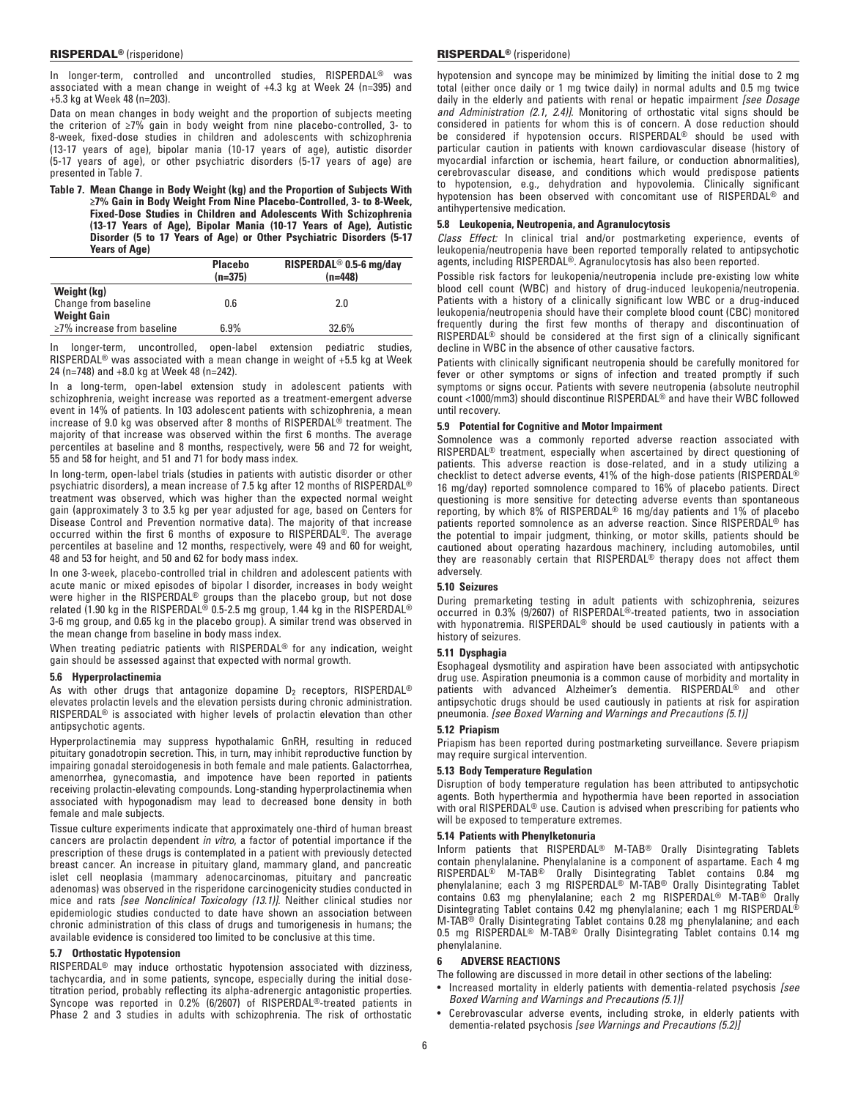In longer-term, controlled and uncontrolled studies, RISPERDAL® was associated with a mean change in weight of +4.3 kg at Week 24 (n=395) and +5.3 kg at Week 48 (n=203).

Data on mean changes in body weight and the proportion of subjects meeting the criterion of ≥7% gain in body weight from nine placebo-controlled, 3- to 8-week, fixed-dose studies in children and adolescents with schizophrenia (13-17 years of age), bipolar mania (10-17 years of age), autistic disorder (5-17 years of age), or other psychiatric disorders (5-17 years of age) are presented in Table 7.

**Table 7. Mean Change in Body Weight (kg) and the Proportion of Subjects With ≥7% Gain in Body Weight From Nine Placebo-Controlled, 3- to 8-Week, Fixed-Dose Studies in Children and Adolescents With Schizophrenia (13-17 Years of Age), Bipolar Mania (10-17 Years of Age), Autistic Disorder (5 to 17 Years of Age) or Other Psychiatric Disorders (5-17 Years of Age)**

|                                                        | <b>Placebo</b><br>$(n=375)$ | RISPERDAL <sup>®</sup> 0.5-6 mg/day<br>$(n=448)$ |
|--------------------------------------------------------|-----------------------------|--------------------------------------------------|
| Weight (kg)<br>Change from baseline                    | 0.6                         | 2.0                                              |
| <b>Weight Gain</b><br>$\geq$ 7% increase from baseline | 6.9%                        | 32.6%                                            |

In longer-term, uncontrolled, open-label extension pediatric studies, RISPERDAL® was associated with a mean change in weight of +5.5 kg at Week 24 (n=748) and +8.0 kg at Week 48 (n=242).

In a long-term, open-label extension study in adolescent patients with schizophrenia, weight increase was reported as a treatment-emergent adverse event in 14% of patients. In 103 adolescent patients with schizophrenia, a mean increase of 9.0 kg was observed after 8 months of RISPERDAL® treatment. The majority of that increase was observed within the first 6 months. The average percentiles at baseline and 8 months, respectively, were 56 and 72 for weight, 55 and 58 for height, and 51 and 71 for body mass index.

In long-term, open-label trials (studies in patients with autistic disorder or other psychiatric disorders), a mean increase of 7.5 kg after 12 months of RISPERDAL® treatment was observed, which was higher than the expected normal weight gain (approximately 3 to 3.5 kg per year adjusted for age, based on Centers for Disease Control and Prevention normative data). The majority of that increase occurred within the first 6 months of exposure to RISPERDAL®. The average percentiles at baseline and 12 months, respectively, were 49 and 60 for weight, 48 and 53 for height, and 50 and 62 for body mass index.

In one 3-week, placebo-controlled trial in children and adolescent patients with acute manic or mixed episodes of bipolar I disorder, increases in body weight were higher in the RISPERDAL® groups than the placebo group, but not dose related (1.90 kg in the RISPERDAL® 0.5‑2.5 mg group, 1.44 kg in the RISPERDAL® 3‑6 mg group, and 0.65 kg in the placebo group). A similar trend was observed in the mean change from baseline in body mass index.

When treating pediatric patients with RISPERDAL<sup>®</sup> for any indication, weight gain should be assessed against that expected with normal growth.

## **5.6 Hyperprolactinemia**

As with other drugs that antagonize dopamine  $D_2$  receptors, RISPERDAL<sup>®</sup> elevates prolactin levels and the elevation persists during chronic administration. RISPERDAL® is associated with higher levels of prolactin elevation than other antipsychotic agents.

Hyperprolactinemia may suppress hypothalamic GnRH, resulting in reduced pituitary gonadotropin secretion. This, in turn, may inhibit reproductive function by impairing gonadal steroidogenesis in both female and male patients. Galactorrhea, amenorrhea, gynecomastia, and impotence have been reported in patients receiving prolactin-elevating compounds. Long-standing hyperprolactinemia when associated with hypogonadism may lead to decreased bone density in both female and male subjects.

Tissue culture experiments indicate that approximately one-third of human breast cancers are prolactin dependent *in vitro*, a factor of potential importance if the prescription of these drugs is contemplated in a patient with previously detected breast cancer. An increase in pituitary gland, mammary gland, and pancreatic islet cell neoplasia (mammary adenocarcinomas, pituitary and pancreatic adenomas) was observed in the risperidone carcinogenicity studies conducted in mice and rats *[see Nonclinical Toxicology (13.1)]*. Neither clinical studies nor epidemiologic studies conducted to date have shown an association between chronic administration of this class of drugs and tumorigenesis in humans; the available evidence is considered too limited to be conclusive at this time.

## **5.7 Orthostatic Hypotension**

RISPERDAL® may induce orthostatic hypotension associated with dizziness, tachycardia, and in some patients, syncope, especially during the initial dosetitration period, probably reflecting its alpha-adrenergic antagonistic properties. Syncope was reported in 0.2% (6/2607) of RISPERDAL®-treated patients in Phase 2 and 3 studies in adults with schizophrenia. The risk of orthostatic

# RISPERDAL® (risperidone) RISPERDAL® (risperidone)

hypotension and syncope may be minimized by limiting the initial dose to 2 mg total (either once daily or 1 mg twice daily) in normal adults and 0.5 mg twice daily in the elderly and patients with renal or hepatic impairment *[see Dosage and Administration (2.1*, *2.4)]*. Monitoring of orthostatic vital signs should be considered in patients for whom this is of concern. A dose reduction should be considered if hypotension occurs. RISPERDAL® should be used with particular caution in patients with known cardiovascular disease (history of myocardial infarction or ischemia, heart failure, or conduction abnormalities), cerebrovascular disease, and conditions which would predispose patients to hypotension, e.g., dehydration and hypovolemia. Clinically significant hypotension has been observed with concomitant use of RISPERDAL® and antihypertensive medication.

# **5.8 Leukopenia, Neutropenia, and Agranulocytosis**

*Class Effect:* In clinical trial and/or postmarketing experience, events of leukopenia/neutropenia have been reported temporally related to antipsychotic agents, including RISPERDAL®. Agranulocytosis has also been reported.

Possible risk factors for leukopenia/neutropenia include pre-existing low white blood cell count (WBC) and history of drug-induced leukopenia/neutropenia. Patients with a history of a clinically significant low WBC or a drug-induced leukopenia/neutropenia should have their complete blood count (CBC) monitored frequently during the first few months of therapy and discontinuation of RISPERDAL® should be considered at the first sign of a clinically significant decline in WBC in the absence of other causative factors.

Patients with clinically significant neutropenia should be carefully monitored for fever or other symptoms or signs of infection and treated promptly if such symptoms or signs occur. Patients with severe neutropenia (absolute neutrophil count <1000/mm3) should discontinue RISPERDAL® and have their WBC followed until recovery.

# **5.9 Potential for Cognitive and Motor Impairment**

Somnolence was a commonly reported adverse reaction associated with RISPERDAL® treatment, especially when ascertained by direct questioning of patients. This adverse reaction is dose-related, and in a study utilizing a checklist to detect adverse events, 41% of the high-dose patients (RISPERDAL® 16 mg/day) reported somnolence compared to 16% of placebo patients. Direct questioning is more sensitive for detecting adverse events than spontaneous reporting, by which 8% of RISPERDAL® 16 mg/day patients and 1% of placebo patients reported somnolence as an adverse reaction. Since RISPERDAL® has the potential to impair judgment, thinking, or motor skills, patients should be cautioned about operating hazardous machinery, including automobiles, until they are reasonably certain that RISPERDAL® therapy does not affect them adversely.

# **5.10 Seizures**

During premarketing testing in adult patients with schizophrenia, seizures occurred in 0.3% (9/2607) of RISPERDAL®‑treated patients, two in association with hyponatremia. RISPERDAL® should be used cautiously in patients with a history of seizures.

# **5.11 Dysphagia**

Esophageal dysmotility and aspiration have been associated with antipsychotic drug use. Aspiration pneumonia is a common cause of morbidity and mortality in patients with advanced Alzheimer's dementia. RISPERDAL® and other antipsychotic drugs should be used cautiously in patients at risk for aspiration pneumonia. *[see Boxed Warning and Warnings and Precautions (5.1)]*

## **5.12 Priapism**

Priapism has been reported during postmarketing surveillance. Severe priapism may require surgical intervention.

## **5.13 Body Temperature Regulation**

Disruption of body temperature regulation has been attributed to antipsychotic agents. Both hyperthermia and hypothermia have been reported in association with oral RISPERDAL® use. Caution is advised when prescribing for patients who will be exposed to temperature extremes.

# **5.14 Patients with Phenylketonuria**

Inform patients that RISPERDAL® M-TAB® Orally Disintegrating Tablets contain phenylalanine**.** Phenylalanine is a component of aspartame. Each 4 mg RISPERDAL® M-TAB® Orally Disintegrating Tablet contains 0.84 mg phenylalanine; each 3 mg RISPERDAL® M-TAB® Orally Disintegrating Tablet contains 0.63 mg phenylalanine; each 2 mg RISPERDAL® M-TAB® Orally Disintegrating Tablet contains 0.42 mg phenylalanine; each 1 mg RISPERDAL<sup>®</sup> M-TAB® Orally Disintegrating Tablet contains 0.28 mg phenylalanine; and each 0.5 mg RISPERDAL® M-TAB® Orally Disintegrating Tablet contains 0.14 mg phenylalanine.

# **6 adverse reactions**

The following are discussed in more detail in other sections of the labeling:

- Increased mortality in elderly patients with dementia-related psychosis *[see Boxed Warning and Warnings and Precautions (5.1)]*
- Cerebrovascular adverse events, including stroke, in elderly patients with dementia-related psychosis *[see Warnings and Precautions (5.2)]*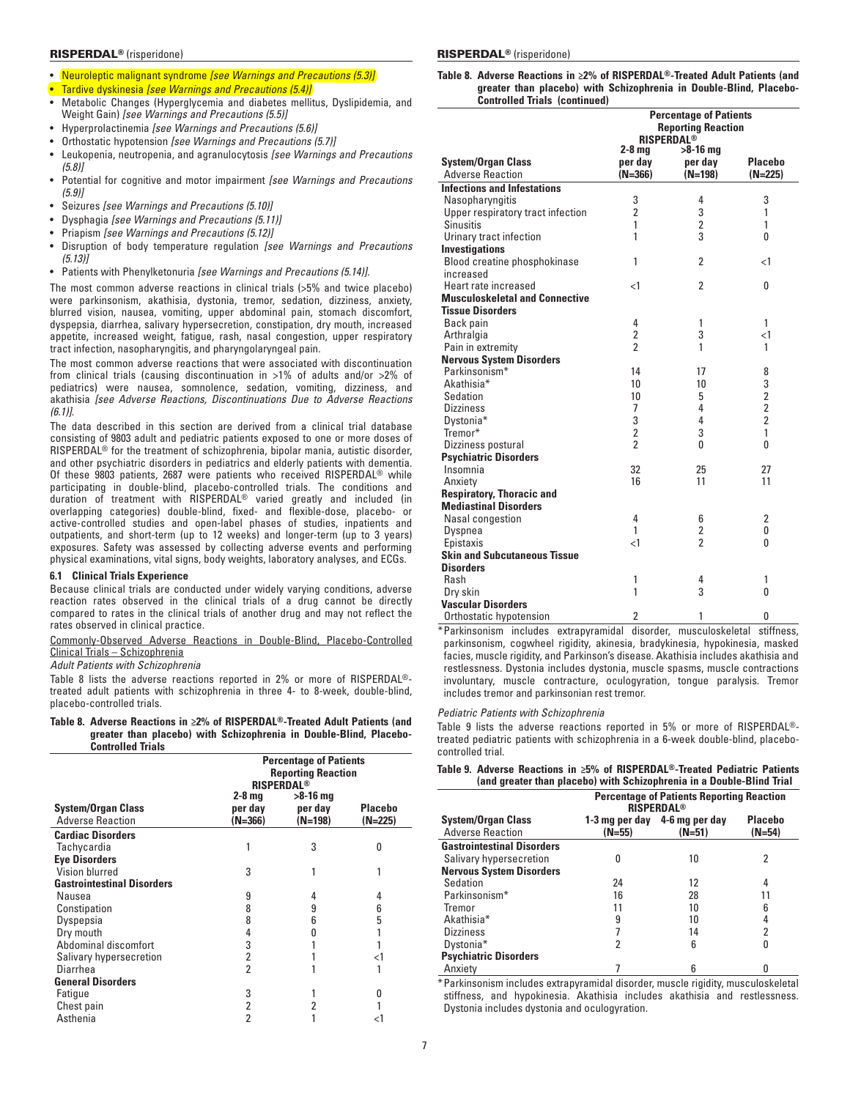- • Neuroleptic malignant syndrome *[see Warnings and Precautions (5.3)]*
- **Tardive dyskinesia** *[see Warnings and Precautions (5.4)]*
- Metabolic Changes (Hyperglycemia and diabetes mellitus, Dyslipidemia, and Weight Gain) *[see Warnings and Precautions (5.5)]*
- • Hyperprolactinemia *[see Warnings and Precautions (5.6)]*
- • Orthostatic hypotension *[see Warnings and Precautions (5.7)]*
- Leukopenia, neutropenia, and agranulocytosis *[see Warnings and Precautions (5.8)]*
- • Potential for cognitive and motor impairment *[see Warnings and Precautions (5.9)]*
- Seizures [see Warnings and Precautions (5.10)]
- **Dysphagia** *[see Warnings and Precautions (5.11)]*
- **Priapism [see Warnings and Precautions (5.12)]**
- Disruption of body temperature regulation *[see Warnings and Precautions (5.13)]*
- Patients with Phenylketonuria *[see Warnings and Precautions (5.14)].*

The most common adverse reactions in clinical trials (>5% and twice placebo) were parkinsonism, akathisia, dystonia, tremor, sedation, dizziness, anxiety, blurred vision, nausea, vomiting, upper abdominal pain, stomach discomfort, dyspepsia, diarrhea, salivary hypersecretion, constipation, dry mouth, increased appetite, increased weight, fatigue, rash, nasal congestion, upper respiratory tract infection, nasopharyngitis, and pharyngolaryngeal pain.

The most common adverse reactions that were associated with discontinuation from clinical trials (causing discontinuation in >1% of adults and/or >2% of pediatrics) were nausea, somnolence, sedation, vomiting, dizziness, and akathisia *[see Adverse Reactions, Discontinuations Due to Adverse Reactions (6.1)]*.

The data described in this section are derived from a clinical trial database consisting of 9803 adult and pediatric patients exposed to one or more doses of RISPERDAL® for the treatment of schizophrenia, bipolar mania, autistic disorder, and other psychiatric disorders in pediatrics and elderly patients with dementia. Of these 9803 patients, 2687 were patients who received RISPERDAL® while participating in double-blind, placebo-controlled trials. The conditions and duration of treatment with RISPERDAL® varied greatly and included (in overlapping categories) double-blind, fixed- and flexible-dose, placebo- or active-controlled studies and open-label phases of studies, inpatients and outpatients, and short-term (up to 12 weeks) and longer-term (up to 3 years) exposures. Safety was assessed by collecting adverse events and performing physical examinations, vital signs, body weights, laboratory analyses, and ECGs.

# **6.1 Clinical Trials Experience**

Because clinical trials are conducted under widely varying conditions, adverse reaction rates observed in the clinical trials of a drug cannot be directly compared to rates in the clinical trials of another drug and may not reflect the rates observed in clinical practice.

Commonly-Observed Adverse Reactions in Double-Blind, Placebo-Controlled Clinical Trials – Schizophrenia

# *Adult Patients with Schizophrenia*

Table 8 lists the adverse reactions reported in 2% or more of RISPERDAL® treated adult patients with schizophrenia in three 4- to 8-week, double-blind, placebo-controlled trials.

**Table 8. Adverse Reactions in ≥2% of RISPERDAL®-Treated Adult Patients (and greater than placebo) with Schizophrenia in Double-Blind, Placebo-Controlled Trials**

|                                   | <b>Percentage of Patients</b><br><b>Reporting Reaction</b><br><b>RISPERDAL®</b> |           |                |  |
|-----------------------------------|---------------------------------------------------------------------------------|-----------|----------------|--|
|                                   | $2-8$ mg                                                                        | >8-16 mg  |                |  |
| <b>System/Organ Class</b>         | per day                                                                         | per day   | <b>Placebo</b> |  |
| <b>Adverse Reaction</b>           | $(N=366)$                                                                       | $(N=198)$ | $(N=225)$      |  |
| <b>Cardiac Disorders</b>          |                                                                                 |           |                |  |
| Tachycardia                       |                                                                                 | 3         | O              |  |
| <b>Eye Disorders</b>              |                                                                                 |           |                |  |
| Vision blurred                    | 3                                                                               |           |                |  |
| <b>Gastrointestinal Disorders</b> |                                                                                 |           |                |  |
| Nausea                            | 9                                                                               | 4         | 4              |  |
| Constipation                      | 8                                                                               | 9         | 6              |  |
| Dyspepsia                         | 8                                                                               | 6         | 5              |  |
| Dry mouth                         | 4                                                                               |           |                |  |
| Abdominal discomfort              | 3                                                                               |           |                |  |
| Salivary hypersecretion           | 2                                                                               |           | <1             |  |
| Diarrhea                          | 2                                                                               |           |                |  |
| <b>General Disorders</b>          |                                                                                 |           |                |  |
| Fatique                           | 3                                                                               |           | O              |  |
| Chest pain                        | 2                                                                               | 2         |                |  |
| Asthenia                          | 2                                                                               |           | ا>             |  |

## RISPERDAL® (risperidone) RISPERDAL® (risperidone)

**Table 8. Adverse Reactions in ≥2% of RISPERDAL®-Treated Adult Patients (and greater than placebo) with Schizophrenia in Double-Blind, Placebo-Controlled Trials (continued)**

|                                       | <b>Percentage of Patients</b><br><b>Reporting Reaction</b><br><b>RISPERDAL®</b> |                |                                            |  |
|---------------------------------------|---------------------------------------------------------------------------------|----------------|--------------------------------------------|--|
|                                       | 2-8 ma                                                                          | $>8-16$ mg     |                                            |  |
| <b>System/Organ Class</b>             | per day                                                                         | per day        | <b>Placebo</b>                             |  |
| <b>Adverse Reaction</b>               | $(N=366)$                                                                       | $(N=198)$      | $(N=225)$                                  |  |
| <b>Infections and Infestations</b>    |                                                                                 |                |                                            |  |
| Nasopharyngitis                       | 3                                                                               | 4              | 3                                          |  |
| Upper respiratory tract infection     | $\overline{2}$                                                                  | 3              | 1                                          |  |
| Sinusitis                             | 1                                                                               | $\overline{2}$ | 1                                          |  |
| Urinary tract infection               | 1                                                                               | 3              | 0                                          |  |
| <b>Investigations</b>                 |                                                                                 |                |                                            |  |
| Blood creatine phosphokinase          | 1                                                                               | $\overline{2}$ | $\leq$ 1                                   |  |
| increased                             |                                                                                 |                |                                            |  |
| Heart rate increased                  | $\leq$ 1                                                                        | $\overline{2}$ | 0                                          |  |
| <b>Musculoskeletal and Connective</b> |                                                                                 |                |                                            |  |
| <b>Tissue Disorders</b>               |                                                                                 |                |                                            |  |
| Back pain                             | 4                                                                               | 1              | 1                                          |  |
| Arthralgia                            | $\overline{2}$                                                                  | 3              | $\leq$ 1                                   |  |
| Pain in extremity                     | $\overline{2}$                                                                  | 1              | 1                                          |  |
| <b>Nervous System Disorders</b>       |                                                                                 |                |                                            |  |
| Parkinsonism*                         | 14                                                                              | 17             | 8                                          |  |
| Akathisia*                            | 10                                                                              | 10             | $\begin{array}{c} 3 \\ 2 \\ 2 \end{array}$ |  |
| Sedation                              | 10                                                                              | 5              |                                            |  |
| <b>Dizziness</b>                      | 7                                                                               | 4              |                                            |  |
| Dystonia*                             | 3                                                                               | 4              | $\overline{2}$                             |  |
| Tremor*                               | $\overline{2}$                                                                  | 3              | 1                                          |  |
| Dizziness postural                    | $\mathfrak{p}$                                                                  | 0              | $\mathbf{0}$                               |  |
| <b>Psychiatric Disorders</b>          |                                                                                 |                |                                            |  |
| Insomnia                              | 32                                                                              | 25             | 27                                         |  |
| Anxiety                               | 16                                                                              | 11             | 11                                         |  |
| <b>Respiratory, Thoracic and</b>      |                                                                                 |                |                                            |  |
| <b>Mediastinal Disorders</b>          |                                                                                 |                |                                            |  |
| Nasal congestion                      | 4                                                                               | 6              | $\overline{2}$                             |  |
| Dyspnea                               | 1                                                                               | 2              | 0                                          |  |
| Epistaxis                             | $\leq$ 1                                                                        | $\mathfrak{p}$ | O                                          |  |
| <b>Skin and Subcutaneous Tissue</b>   |                                                                                 |                |                                            |  |
| <b>Disorders</b>                      |                                                                                 |                |                                            |  |
| Rash                                  | 1                                                                               | 4              | 1                                          |  |
| Dry skin                              | 1                                                                               | 3              | 0                                          |  |
| <b>Vascular Disorders</b>             |                                                                                 |                |                                            |  |
| Orthostatic hypotension               | $\overline{2}$                                                                  | 1              | 0                                          |  |

\*Parkinsonism includes extrapyramidal disorder, musculoskeletal stiffness, parkinsonism, cogwheel rigidity, akinesia, bradykinesia, hypokinesia, masked facies, muscle rigidity, and Parkinson's disease. Akathisia includes akathisia and restlessness. Dystonia includes dystonia, muscle spasms, muscle contractions involuntary, muscle contracture, oculogyration, tongue paralysis. Tremor includes tremor and parkinsonian rest tremor.

### *Pediatric Patients with Schizophrenia*

Table 9 lists the adverse reactions reported in 5% or more of RISPERDAL® treated pediatric patients with schizophrenia in a 6-week double-blind, placebocontrolled trial.

## **Table 9. Adverse Reactions in ≥5% of RISPERDAL®-Treated Pediatric Patients (and greater than placebo) with Schizophrenia in a Double-Blind Trial**

|                                   |                                                 | <b>Percentage of Patients Reporting Reaction</b><br><b>RISPERDAL<sup>®</sup></b> |          |  |  |  |
|-----------------------------------|-------------------------------------------------|----------------------------------------------------------------------------------|----------|--|--|--|
| <b>System/Organ Class</b>         | <b>Placebo</b><br>1-3 mg per day 4-6 mg per day |                                                                                  |          |  |  |  |
| <b>Adverse Reaction</b>           | $(N=55)$                                        | $(N=51)$                                                                         | $(N=54)$ |  |  |  |
| <b>Gastrointestinal Disorders</b> |                                                 |                                                                                  |          |  |  |  |
| Salivary hypersecretion           | O                                               | 10                                                                               | 2        |  |  |  |
| <b>Nervous System Disorders</b>   |                                                 |                                                                                  |          |  |  |  |
| Sedation                          | 24                                              | 12                                                                               | 4        |  |  |  |
| Parkinsonism*                     | 16                                              | 28                                                                               | 11       |  |  |  |
| Tremor                            | 11                                              | 10                                                                               | 6        |  |  |  |
| Akathisia <sup>*</sup>            | 9                                               | 10                                                                               |          |  |  |  |
| <b>Dizziness</b>                  |                                                 | 14                                                                               | 2        |  |  |  |
| Dystonia*                         | 2                                               | 6                                                                                |          |  |  |  |
| <b>Psychiatric Disorders</b>      |                                                 |                                                                                  |          |  |  |  |
| Anxiety                           |                                                 | 6                                                                                |          |  |  |  |

\*Parkinsonism includes extrapyramidal disorder, muscle rigidity, musculoskeletal stiffness, and hypokinesia. Akathisia includes akathisia and restlessness. Dystonia includes dystonia and oculogyration.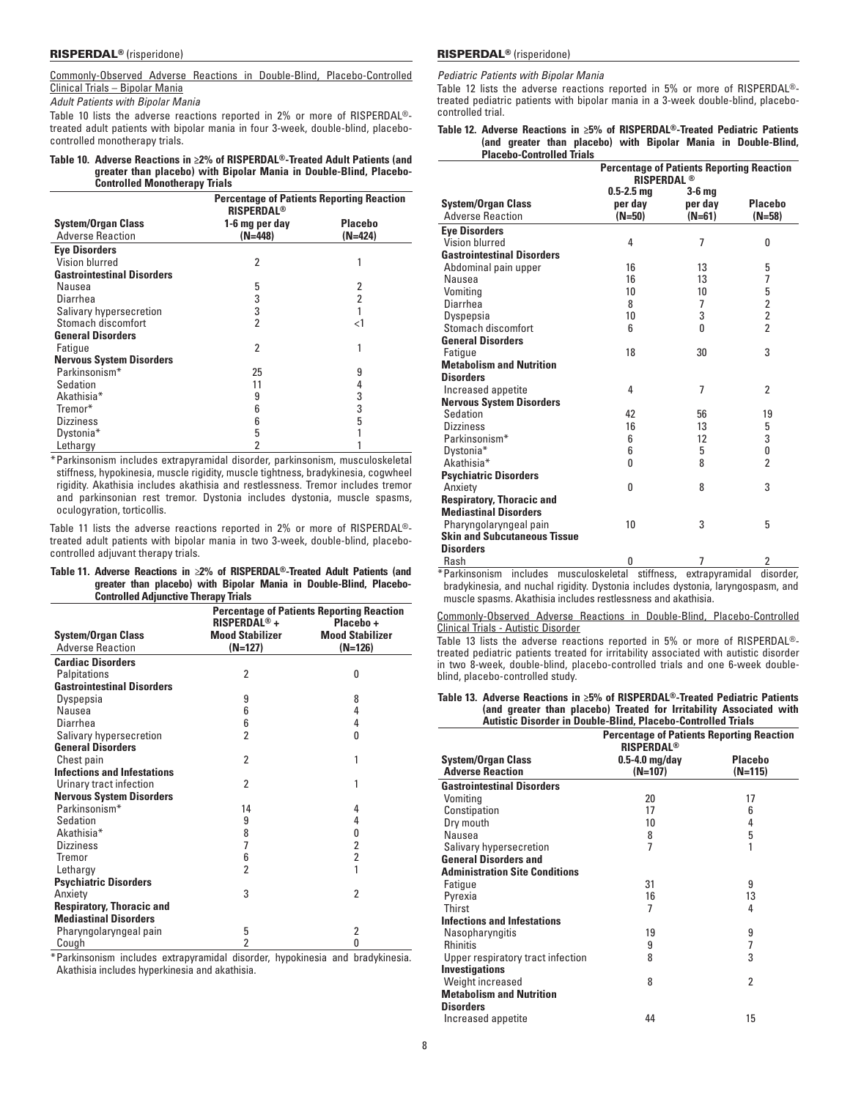Commonly-Observed Adverse Reactions in Double-Blind, Placebo-Controlled Clinical Trials – Bipolar Mania

*Adult Patients with Bipolar Mania*

Table 10 lists the adverse reactions reported in 2% or more of RISPERDAL® treated adult patients with bipolar mania in four 3-week, double-blind, placebocontrolled monotherapy trials.

# **Table 10. Adverse Reactions in ≥2% of RISPERDAL®-Treated Adult Patients (and greater than placebo) with Bipolar Mania in Double-Blind, Placebo-Controlled Monotherapy Trials**

|                                   | <b>Percentage of Patients Reporting Reaction</b><br><b>RISPERDAL<sup>®</sup></b> |                |  |  |  |
|-----------------------------------|----------------------------------------------------------------------------------|----------------|--|--|--|
| <b>System/Organ Class</b>         | 1-6 mg per day                                                                   | <b>Placebo</b> |  |  |  |
| <b>Adverse Reaction</b>           | $(N=448)$                                                                        | $(N=424)$      |  |  |  |
| <b>Eye Disorders</b>              |                                                                                  |                |  |  |  |
| Vision blurred                    | 2                                                                                | 1              |  |  |  |
| <b>Gastrointestinal Disorders</b> |                                                                                  |                |  |  |  |
| Nausea                            | 5                                                                                | 2              |  |  |  |
| Diarrhea                          | 3                                                                                | 2              |  |  |  |
| Salivary hypersecretion           | 3                                                                                |                |  |  |  |
| Stomach discomfort                | $\overline{2}$                                                                   | $<$ 1          |  |  |  |
| <b>General Disorders</b>          |                                                                                  |                |  |  |  |
| Fatigue                           | 2                                                                                | 1              |  |  |  |
| <b>Nervous System Disorders</b>   |                                                                                  |                |  |  |  |
| Parkinsonism*                     | 25                                                                               | 9              |  |  |  |
| Sedation                          | 11                                                                               | 4              |  |  |  |
| Akathisia <sup>*</sup>            | 9                                                                                | 3              |  |  |  |
| Tremor*                           | 6                                                                                | 3              |  |  |  |
| <b>Dizziness</b>                  | 6                                                                                | 5              |  |  |  |
| Dystonia*                         | 5                                                                                |                |  |  |  |
| Lethargy                          | $\overline{2}$                                                                   |                |  |  |  |

\* Parkinsonism includes extrapyramidal disorder, parkinsonism, musculoskeletal stiffness, hypokinesia, muscle rigidity, muscle tightness, bradykinesia, cogwheel rigidity. Akathisia includes akathisia and restlessness. Tremor includes tremor and parkinsonian rest tremor. Dystonia includes dystonia, muscle spasms, oculogyration, torticollis.

Table 11 lists the adverse reactions reported in 2% or more of RISPERDAL® treated adult patients with bipolar mania in two 3-week, double-blind, placebocontrolled adjuvant therapy trials.

| Table 11. Adverse Reactions in $\geq 2\%$ of RISPERDAL®-Treated Adult Patients (and |                                                                    |  |  |  |  |  |  |
|-------------------------------------------------------------------------------------|--------------------------------------------------------------------|--|--|--|--|--|--|
|                                                                                     | greater than placebo) with Bipolar Mania in Double-Blind, Placebo- |  |  |  |  |  |  |
|                                                                                     | <b>Controlled Adiunctive Therapy Trials</b>                        |  |  |  |  |  |  |

|                                    | <b>Percentage of Patients Reporting Reaction</b> |                        |  |  |
|------------------------------------|--------------------------------------------------|------------------------|--|--|
|                                    | RISPERDAL <sup>®</sup> +                         | Placebo+               |  |  |
| <b>System/Organ Class</b>          | <b>Mood Stabilizer</b>                           | <b>Mood Stabilizer</b> |  |  |
| <b>Adverse Reaction</b>            | $(N=127)$                                        | $(N=126)$              |  |  |
| <b>Cardiac Disorders</b>           |                                                  |                        |  |  |
| Palpitations                       | $\overline{2}$                                   | O                      |  |  |
| <b>Gastrointestinal Disorders</b>  |                                                  |                        |  |  |
| Dyspepsia                          | 9                                                | 8                      |  |  |
| Nausea                             | 6                                                | 4                      |  |  |
| Diarrhea                           | 6                                                | 4                      |  |  |
| Salivary hypersecretion            | $\overline{2}$                                   | 0                      |  |  |
| <b>General Disorders</b>           |                                                  |                        |  |  |
| Chest pain                         | $\overline{2}$                                   | 1                      |  |  |
| <b>Infections and Infestations</b> |                                                  |                        |  |  |
| Urinary tract infection            | 2                                                | 1                      |  |  |
| <b>Nervous System Disorders</b>    |                                                  |                        |  |  |
| Parkinsonism*                      | 14                                               | 4                      |  |  |
| Sedation                           | 9                                                | 4                      |  |  |
| Akathisia*                         | 8                                                | 0                      |  |  |
| <b>Dizziness</b>                   | 7                                                | $\overline{2}$         |  |  |
| Tremor                             | 6                                                | $\overline{2}$         |  |  |
| Lethargy                           | 2                                                | 1                      |  |  |
| <b>Psychiatric Disorders</b>       |                                                  |                        |  |  |
| Anxiety                            | 3                                                | $\overline{2}$         |  |  |
| <b>Respiratory, Thoracic and</b>   |                                                  |                        |  |  |
| <b>Mediastinal Disorders</b>       |                                                  |                        |  |  |
| Pharyngolaryngeal pain             | 5                                                | 2                      |  |  |
| Cough                              | $\overline{2}$                                   | 0                      |  |  |

\*Parkinsonism includes extrapyramidal disorder, hypokinesia and bradykinesia. Akathisia includes hyperkinesia and akathisia.

*Pediatric Patients with Bipolar Mania*

Table 12 lists the adverse reactions reported in 5% or more of RISPERDAL® treated pediatric patients with bipolar mania in a 3-week double-blind, placebocontrolled trial.

**Table 12. Adverse Reactions in ≥5% of RISPERDAL®-Treated Pediatric Patients (and greater than placebo) with Bipolar Mania in Double-Blind, Placebo-Controlled Trials**

|                                     | <b>Percentage of Patients Reporting Reaction</b><br><b>RISPERDAL<sup>®</sup></b> |                |                |  |  |
|-------------------------------------|----------------------------------------------------------------------------------|----------------|----------------|--|--|
|                                     | $0.5 - 2.5$ mg                                                                   | 3-6 mg         |                |  |  |
| <b>System/Organ Class</b>           | per day                                                                          | per day        | <b>Placebo</b> |  |  |
| <b>Adverse Reaction</b>             | $(N=50)$                                                                         | $(N=61)$       | $(N=58)$       |  |  |
| <b>Eye Disorders</b>                |                                                                                  |                |                |  |  |
| Vision blurred                      | 4                                                                                | $\overline{7}$ | 0              |  |  |
| <b>Gastrointestinal Disorders</b>   |                                                                                  |                |                |  |  |
| Abdominal pain upper                | 16                                                                               | 13             | 5              |  |  |
| Nausea                              | 16                                                                               | 13             | 7              |  |  |
| Vomiting                            | 10                                                                               | 10             | 5              |  |  |
| Diarrhea                            | 8                                                                                | 7              | $\frac{2}{2}$  |  |  |
| Dyspepsia                           | 10                                                                               | 3              |                |  |  |
| Stomach discomfort                  | 6                                                                                | 0              | $\overline{2}$ |  |  |
| <b>General Disorders</b>            |                                                                                  |                |                |  |  |
| Fatique                             | 18                                                                               | 30             | 3              |  |  |
| <b>Metabolism and Nutrition</b>     |                                                                                  |                |                |  |  |
| <b>Disorders</b>                    |                                                                                  |                |                |  |  |
| Increased appetite                  | 4                                                                                | $\overline{7}$ | $\overline{2}$ |  |  |
| <b>Nervous System Disorders</b>     |                                                                                  |                |                |  |  |
| Sedation                            | 42                                                                               | 56             | 19             |  |  |
| <b>Dizziness</b>                    | 16                                                                               | 13             | 5              |  |  |
| Parkinsonism*                       | 6                                                                                | 12             | 3              |  |  |
| Dystonia*                           | 6                                                                                | 5              | $\bf{0}$       |  |  |
| Akathisia*                          | O                                                                                | 8              | $\overline{2}$ |  |  |
| <b>Psychiatric Disorders</b>        |                                                                                  |                |                |  |  |
| Anxiety                             | 0                                                                                | 8              | 3              |  |  |
| <b>Respiratory, Thoracic and</b>    |                                                                                  |                |                |  |  |
| <b>Mediastinal Disorders</b>        |                                                                                  |                |                |  |  |
| Pharyngolaryngeal pain              | 10                                                                               | 3              | 5              |  |  |
| <b>Skin and Subcutaneous Tissue</b> |                                                                                  |                |                |  |  |
| <b>Disorders</b>                    |                                                                                  |                |                |  |  |
| Rash                                | 0                                                                                | 7              | 2              |  |  |

\* Parkinsonism includes musculoskeletal stiffness, extrapyramidal disorder, bradykinesia, and nuchal rigidity. Dystonia includes dystonia, laryngospasm, and muscle spasms. Akathisia includes restlessness and akathisia.

Commonly-Observed Adverse Reactions in Double-Blind, Placebo-Controlled Clinical Trials - Autistic Disorder

Table 13 lists the adverse reactions reported in 5% or more of RISPERDAL® treated pediatric patients treated for irritability associated with autistic disorder in two 8-week, double-blind, placebo-controlled trials and one 6-week doubleblind, placebo-controlled study.

| Table 13. Adverse Reactions in >5% of RISPERDAL®-Treated Pediatric Patients |  |  |
|-----------------------------------------------------------------------------|--|--|
| (and greater than placebo) Treated for Irritability Associated with         |  |  |
| <b>Autistic Disorder in Double-Blind, Placebo-Controlled Trials</b>         |  |  |

| Autiono Diooruoi in Doublo Diniu, Fiuocho Oontronou Inuio |                                                                                  |                |  |  |  |
|-----------------------------------------------------------|----------------------------------------------------------------------------------|----------------|--|--|--|
|                                                           | <b>Percentage of Patients Reporting Reaction</b><br><b>RISPERDAL<sup>®</sup></b> |                |  |  |  |
| <b>System/Organ Class</b>                                 | $0.5-4.0$ mg/day                                                                 | <b>Placebo</b> |  |  |  |
| <b>Adverse Reaction</b>                                   | $(N=107)$                                                                        | $(N=115)$      |  |  |  |
| <b>Gastrointestinal Disorders</b>                         |                                                                                  |                |  |  |  |
| Vomiting                                                  | 20                                                                               | 17             |  |  |  |
| Constipation                                              | 17                                                                               | 6              |  |  |  |
| Dry mouth                                                 | 10                                                                               | 4              |  |  |  |
| Nausea                                                    | 8                                                                                | 5              |  |  |  |
| Salivary hypersecretion                                   | $\overline{7}$                                                                   | 1              |  |  |  |
| <b>General Disorders and</b>                              |                                                                                  |                |  |  |  |
| <b>Administration Site Conditions</b>                     |                                                                                  |                |  |  |  |
| Fatique                                                   | 31                                                                               | 9              |  |  |  |
| Pyrexia                                                   | 16                                                                               | 13             |  |  |  |
| Thirst                                                    | 7                                                                                | 4              |  |  |  |
| <b>Infections and Infestations</b>                        |                                                                                  |                |  |  |  |
| Nasopharyngitis                                           | 19                                                                               | 9              |  |  |  |
| <b>Rhinitis</b>                                           | 9                                                                                | 7              |  |  |  |
| Upper respiratory tract infection                         | 8                                                                                | 3              |  |  |  |
| <b>Investigations</b>                                     |                                                                                  |                |  |  |  |
| Weight increased                                          | 8                                                                                | 2              |  |  |  |
| <b>Metabolism and Nutrition</b>                           |                                                                                  |                |  |  |  |
| <b>Disorders</b>                                          |                                                                                  |                |  |  |  |
| Increased appetite                                        | 44                                                                               | 15             |  |  |  |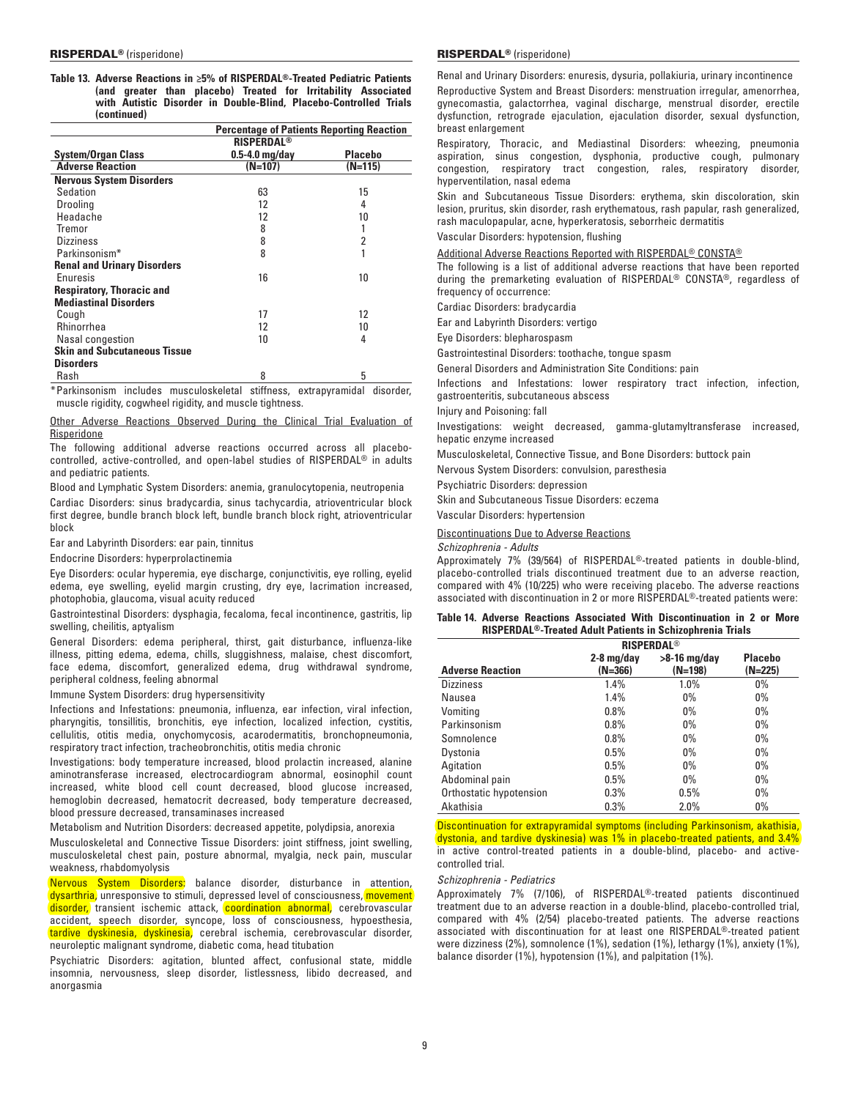|  |             |  |  | Table 13. Adverse Reactions in $\geq 5\%$ of RISPERDAL®-Treated Pediatric Patients |  |
|--|-------------|--|--|------------------------------------------------------------------------------------|--|
|  |             |  |  | (and greater than placebo) Treated for Irritability Associated                     |  |
|  |             |  |  | with Autistic Disorder in Double-Blind. Placebo-Controlled Trials                  |  |
|  | (continued) |  |  |                                                                                    |  |

|                                                                                                          | <b>Percentage of Patients Reporting Reaction</b> |                |
|----------------------------------------------------------------------------------------------------------|--------------------------------------------------|----------------|
|                                                                                                          | <b>RISPERDAL<sup>®</sup></b>                     |                |
| <b>System/Organ Class</b>                                                                                | $0.5-4.0$ mg/day                                 | <b>Placebo</b> |
| <b>Adverse Reaction</b>                                                                                  | $(N=107)$                                        | (N=115)        |
| <b>Nervous System Disorders</b>                                                                          |                                                  |                |
| Sedation                                                                                                 | 63                                               | 15             |
| <b>Drooling</b>                                                                                          | 12                                               | 4              |
| Headache                                                                                                 | 12                                               | 10             |
| Tremor                                                                                                   | 8                                                |                |
| <b>Dizziness</b>                                                                                         | 8                                                | 2              |
| Parkinsonism*                                                                                            | 8                                                |                |
| <b>Renal and Urinary Disorders</b>                                                                       |                                                  |                |
| Enuresis                                                                                                 | 16                                               | 10             |
| <b>Respiratory, Thoracic and</b>                                                                         |                                                  |                |
| <b>Mediastinal Disorders</b>                                                                             |                                                  |                |
| Cough                                                                                                    | 17                                               | 12             |
| <b>Rhinorrhea</b>                                                                                        | 12                                               | 10             |
| Nasal congestion                                                                                         | 10                                               | 4              |
| <b>Skin and Subcutaneous Tissue</b>                                                                      |                                                  |                |
| <b>Disorders</b>                                                                                         |                                                  |                |
| Rash                                                                                                     | 8                                                | 5              |
| * Dealth content the light of action of collection of the communication of the address of the collection |                                                  |                |

Parkinsonism includes musculoskeletal stiffness, extrapyramidal disorder, muscle rigidity, cogwheel rigidity, and muscle tightness.

Other Adverse Reactions Observed During the Clinical Trial Evaluation of Risperidone

The following additional adverse reactions occurred across all placebocontrolled, active-controlled, and open-label studies of RISPERDAL® in adults and pediatric patients.

Blood and Lymphatic System Disorders: anemia, granulocytopenia, neutropenia

Cardiac Disorders: sinus bradycardia, sinus tachycardia, atrioventricular block first degree, bundle branch block left, bundle branch block right, atrioventricular block

Ear and Labyrinth Disorders: ear pain, tinnitus

Endocrine Disorders: hyperprolactinemia

Eye Disorders: ocular hyperemia, eye discharge, conjunctivitis, eye rolling, eyelid edema, eye swelling, eyelid margin crusting, dry eye, lacrimation increased, photophobia, glaucoma, visual acuity reduced

Gastrointestinal Disorders: dysphagia, fecaloma, fecal incontinence, gastritis, lip swelling, cheilitis, aptyalism

General Disorders: edema peripheral, thirst, gait disturbance, influenza-like illness, pitting edema, edema, chills, sluggishness, malaise, chest discomfort, face edema, discomfort, generalized edema, drug withdrawal syndrome, peripheral coldness, feeling abnormal

Immune System Disorders: drug hypersensitivity

Infections and Infestations: pneumonia, influenza, ear infection, viral infection, pharyngitis, tonsillitis, bronchitis, eye infection, localized infection, cystitis, cellulitis, otitis media, onychomycosis, acarodermatitis, bronchopneumonia, respiratory tract infection, tracheobronchitis, otitis media chronic

Investigations: body temperature increased, blood prolactin increased, alanine aminotransferase increased, electrocardiogram abnormal, eosinophil count increased, white blood cell count decreased, blood glucose increased, hemoglobin decreased, hematocrit decreased, body temperature decreased, blood pressure decreased, transaminases increased

Metabolism and Nutrition Disorders: decreased appetite, polydipsia, anorexia

Musculoskeletal and Connective Tissue Disorders: joint stiffness, joint swelling, musculoskeletal chest pain, posture abnormal, myalgia, neck pain, muscular weakness, rhabdomyolysis

Nervous System Disorders: balance disorder, disturbance in attention, dysarthria, unresponsive to stimuli, depressed level of consciousness, movement disorder, transient ischemic attack, coordination abnormal, cerebrovascular accident, speech disorder, syncope, loss of consciousness, hypoesthesia, tardive dyskinesia, dyskinesia, cerebral ischemia, cerebrovascular disorder, neuroleptic malignant syndrome, diabetic coma, head titubation

Psychiatric Disorders: agitation, blunted affect, confusional state, middle insomnia, nervousness, sleep disorder, listlessness, libido decreased, and anorgasmia

## RISPERDAL® (risperidone) RISPERDAL® (risperidone)

Renal and Urinary Disorders: enuresis, dysuria, pollakiuria, urinary incontinence Reproductive System and Breast Disorders: menstruation irregular, amenorrhea, gynecomastia, galactorrhea, vaginal discharge, menstrual disorder, erectile dysfunction, retrograde ejaculation, ejaculation disorder, sexual dysfunction, breast enlargement

Respiratory, Thoracic, and Mediastinal Disorders: wheezing, pneumonia aspiration, sinus congestion, dysphonia, productive cough, pulmonary congestion, respiratory tract congestion, rales, respiratory disorder, hyperventilation, nasal edema

Skin and Subcutaneous Tissue Disorders: erythema, skin discoloration, skin lesion, pruritus, skin disorder, rash erythematous, rash papular, rash generalized, rash maculopapular, acne, hyperkeratosis, seborrheic dermatitis

Vascular Disorders: hypotension, flushing

Additional Adverse Reactions Reported with RISPERDAL® CONSTA®

The following is a list of additional adverse reactions that have been reported during the premarketing evaluation of RISPERDAL® CONSTA®, regardless of frequency of occurrence:

Cardiac Disorders: bradycardia

Ear and Labyrinth Disorders: vertigo

Eye Disorders: blepharospasm

Gastrointestinal Disorders: toothache, tongue spasm

General Disorders and Administration Site Conditions: pain

Infections and Infestations: lower respiratory tract infection, infection, gastroenteritis, subcutaneous abscess

Injury and Poisoning: fall

Investigations: weight decreased, gamma-glutamyltransferase increased, hepatic enzyme increased

Musculoskeletal, Connective Tissue, and Bone Disorders: buttock pain

Nervous System Disorders: convulsion, paresthesia

Psychiatric Disorders: depression

Skin and Subcutaneous Tissue Disorders: eczema

Vascular Disorders: hypertension

Discontinuations Due to Adverse Reactions

*Schizophrenia - Adults*

Approximately 7% (39/564) of RISPERDAL®-treated patients in double-blind, placebo-controlled trials discontinued treatment due to an adverse reaction, compared with 4% (10/225) who were receiving placebo. The adverse reactions associated with discontinuation in 2 or more RISPERDAL®-treated patients were:

|  | Table 14. Adverse Reactions Associated With Discontinuation in 2 or More |  |  |  |
|--|--------------------------------------------------------------------------|--|--|--|
|  | RISPERDAL®-Treated Adult Patients in Schizophrenia Trials                |  |  |  |

|                         |                           | <b>RISPERDAL<sup>®</sup></b> |                             |  |  |  |
|-------------------------|---------------------------|------------------------------|-----------------------------|--|--|--|
| <b>Adverse Reaction</b> | $2-8$ mg/day<br>$(N=366)$ | $>8-16$ mg/day<br>(N=198)    | <b>Placebo</b><br>$(N=225)$ |  |  |  |
| <b>Dizziness</b>        | 1.4%                      | 1.0%                         | $0\%$                       |  |  |  |
| Nausea                  | 1.4%                      | $0\%$                        | $0\%$                       |  |  |  |
| Vomiting                | 0.8%                      | $0\%$                        | $0\%$                       |  |  |  |
| Parkinsonism            | 0.8%                      | $0\%$                        | $0\%$                       |  |  |  |
| Somnolence              | 0.8%                      | $0\%$                        | $0\%$                       |  |  |  |
| Dystonia                | 0.5%                      | $0\%$                        | $0\%$                       |  |  |  |
| Agitation               | 0.5%                      | $0\%$                        | $0\%$                       |  |  |  |
| Abdominal pain          | 0.5%                      | $0\%$                        | $0\%$                       |  |  |  |
| Orthostatic hypotension | 0.3%                      | 0.5%                         | $0\%$                       |  |  |  |
| Akathisia               | 0.3%                      | 2.0%                         | $0\%$                       |  |  |  |

Discontinuation for extrapyramidal symptoms (including Parkinsonism, akathisia, dystonia, and tardive dyskinesia) was 1% in placebo-treated patients, and 3.4% in active control-treated patients in a double-blind, placebo- and activecontrolled trial.

*Schizophrenia - Pediatrics*

Approximately 7% (7/106), of RISPERDAL®-treated patients discontinued treatment due to an adverse reaction in a double-blind, placebo-controlled trial, compared with 4% (2/54) placebo‑treated patients. The adverse reactions associated with discontinuation for at least one RISPERDAL®-treated patient were dizziness (2%), somnolence (1%), sedation (1%), lethargy (1%), anxiety (1%), balance disorder (1%), hypotension (1%), and palpitation (1%).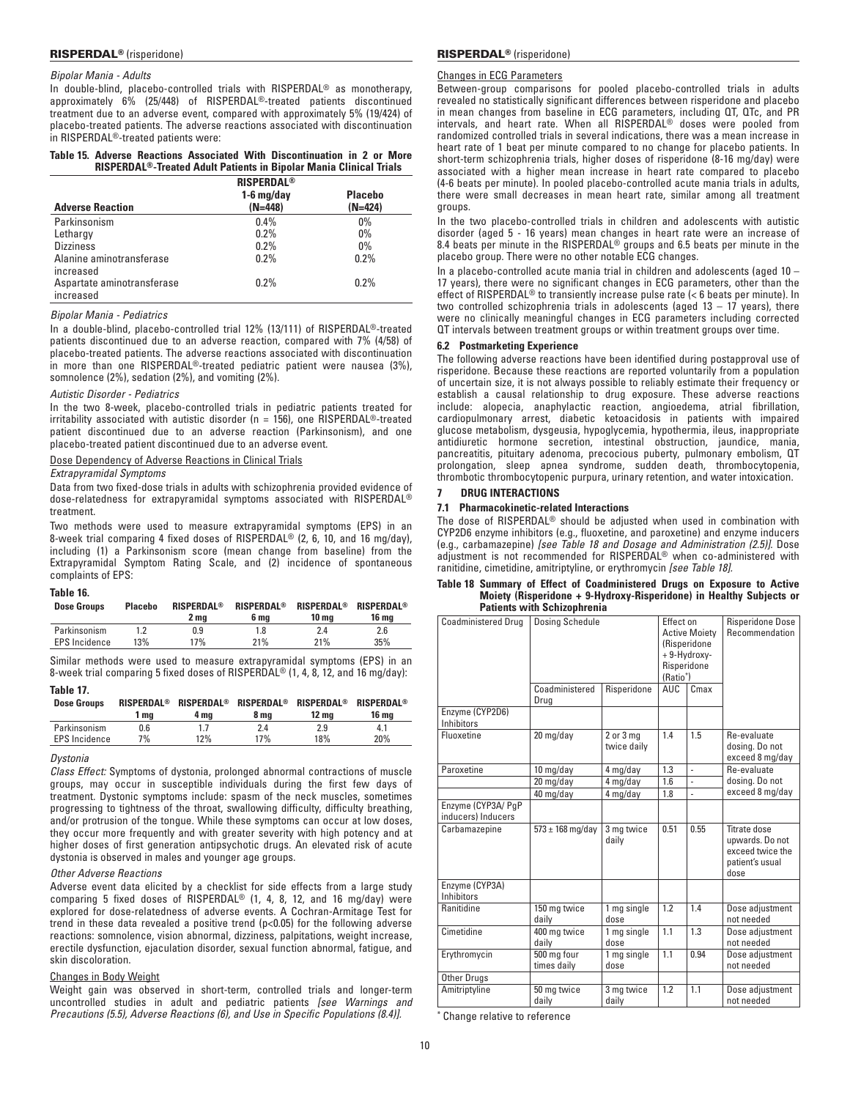## *Bipolar Mania - Adults*

In double-blind, placebo-controlled trials with RISPERDAL® as monotherapy, approximately 6% (25/448) of RISPERDAL®-treated patients discontinued treatment due to an adverse event, compared with approximately 5% (19/424) of placebo-treated patients. The adverse reactions associated with discontinuation in RISPERDAL®-treated patients were:

# **Table 15. Adverse Reactions Associated With Discontinuation in 2 or More RISPERDAL®-Treated Adult Patients in Bipolar Mania Clinical Trials**

|                            | <b>RISPERDAL<sup>®</sup></b> |                |
|----------------------------|------------------------------|----------------|
|                            | $1-6$ mg/day                 | <b>Placebo</b> |
| <b>Adverse Reaction</b>    | $(N=448)$                    | $(N=424)$      |
| Parkinsonism               | $0.4\%$                      | $0\%$          |
| Lethargy                   | 0.2%                         | $0\%$          |
| <b>Dizziness</b>           | 0.2%                         | $0\%$          |
| Alanine aminotransferase   | 0.2%                         | 0.2%           |
| increased                  |                              |                |
| Aspartate aminotransferase | 0.2%                         | 0.2%           |
| increased                  |                              |                |

### *Bipolar Mania - Pediatrics*

In a double-blind, placebo-controlled trial 12% (13/111) of RISPERDAL®‑treated patients discontinued due to an adverse reaction, compared with 7% (4/58) of placebo-treated patients. The adverse reactions associated with discontinuation in more than one RISPERDAL®-treated pediatric patient were nausea (3%), somnolence (2%), sedation (2%), and vomiting (2%).

## *Autistic Disorder - Pediatrics*

In the two 8-week, placebo-controlled trials in pediatric patients treated for irritability associated with autistic disorder ( $n = 156$ ), one RISPERDAL<sup>®</sup>-treated patient discontinued due to an adverse reaction (Parkinsonism), and one placebo-treated patient discontinued due to an adverse event.

Dose Dependency of Adverse Reactions in Clinical Trials

## *Extrapyramidal Symptoms*

Data from two fixed-dose trials in adults with schizophrenia provided evidence of dose-relatedness for extrapyramidal symptoms associated with RISPERDAL® treatment.

Two methods were used to measure extrapyramidal symptoms (EPS) in an 8-week trial comparing 4 fixed doses of RISPERDAL® (2, 6, 10, and 16 mg/day), including (1) a Parkinsonism score (mean change from baseline) from the Extrapyramidal Symptom Rating Scale, and (2) incidence of spontaneous complaints of EPS:

## **Table 16.**

| <b>Dose Groups</b>   | <b>Placebo</b> | <b>RISPERDAL<sup>®</sup></b><br>2 ma | RISPERDAL®<br>6 ma | <b>RISPERDAL<sup>®</sup></b><br>10 ma | <b>RISPERDAL<sup>®</sup></b><br>16 ma |
|----------------------|----------------|--------------------------------------|--------------------|---------------------------------------|---------------------------------------|
| Parkinsonism         |                | 0.9                                  | 1.8                | 2.4                                   | 2.6                                   |
| <b>EPS</b> Incidence | 13%            | 17%                                  | 21%                | 21%                                   | 35%                                   |
|                      |                |                                      |                    |                                       |                                       |

Similar methods were used to measure extrapyramidal symptoms (EPS) in an 8-week trial comparing 5 fixed doses of RISPERDAL® (1, 4, 8, 12, and 16 mg/day):

# **Table 17.**

| <b>Dose Groups</b>   | <b>RISPERDAL<sup>®</sup></b><br>1 ma | 4 ma | RISPERDAL <sup>®</sup> RISPERDAL®<br>8 ma | RISPERDAL®<br>12 ma | <b>RISPERDAL®</b><br>16 ma |
|----------------------|--------------------------------------|------|-------------------------------------------|---------------------|----------------------------|
| Parkinsonism         | 0.6                                  |      | 2.4                                       | 2.9                 | 4. 1                       |
| <b>EPS</b> Incidence | 7%                                   | 12%  | 17%                                       | 18%                 | 20%                        |

### *Dystonia*

*Class Effect:* Symptoms of dystonia, prolonged abnormal contractions of muscle groups, may occur in susceptible individuals during the first few days of treatment. Dystonic symptoms include: spasm of the neck muscles, sometimes progressing to tightness of the throat, swallowing difficulty, difficulty breathing, and/or protrusion of the tongue. While these symptoms can occur at low doses, they occur more frequently and with greater severity with high potency and at higher doses of first generation antipsychotic drugs. An elevated risk of acute dystonia is observed in males and younger age groups.

### *Other Adverse Reactions*

Adverse event data elicited by a checklist for side effects from a large study comparing 5 fixed doses of RISPERDAL® (1, 4, 8, 12, and 16 mg/day) were explored for dose-relatedness of adverse events. A Cochran-Armitage Test for trend in these data revealed a positive trend (p<0.05) for the following adverse reactions: somnolence, vision abnormal, dizziness, palpitations, weight increase, erectile dysfunction, ejaculation disorder, sexual function abnormal, fatigue, and skin discoloration.

## Changes in Body Weight

Weight gain was observed in short-term, controlled trials and longer-term uncontrolled studies in adult and pediatric patients *[see Warnings and Precautions (5.5), Adverse Reactions (6), and Use in Specific Populations (8.4)].*

## RISPERDAL® (risperidone) RISPERDAL® (risperidone)

# Changes in ECG Parameters

Between-group comparisons for pooled placebo-controlled trials in adults revealed no statistically significant differences between risperidone and placebo in mean changes from baseline in ECG parameters, including QT, QTc, and PR intervals, and heart rate. When all RISPERDAL® doses were pooled from randomized controlled trials in several indications, there was a mean increase in heart rate of 1 beat per minute compared to no change for placebo patients. In short-term schizophrenia trials, higher doses of risperidone (8-16 mg/day) were associated with a higher mean increase in heart rate compared to placebo (4-6 beats per minute). In pooled placebo-controlled acute mania trials in adults, there were small decreases in mean heart rate, similar among all treatment groups.

In the two placebo-controlled trials in children and adolescents with autistic disorder (aged 5 ‑ 16 years) mean changes in heart rate were an increase of 8.4 beats per minute in the RISPERDAL® groups and 6.5 beats per minute in the placebo group. There were no other notable ECG changes.

In a placebo-controlled acute mania trial in children and adolescents (aged 10 – 17 years), there were no significant changes in ECG parameters, other than the effect of RISPERDAL® to transiently increase pulse rate (< 6 beats per minute). In two controlled schizophrenia trials in adolescents (aged  $13 - 17$  years), there were no clinically meaningful changes in ECG parameters including corrected QT intervals between treatment groups or within treatment groups over time.

# **6.2 Postmarketing Experience**

The following adverse reactions have been identified during postapproval use of risperidone. Because these reactions are reported voluntarily from a population of uncertain size, it is not always possible to reliably estimate their frequency or establish a causal relationship to drug exposure. These adverse reactions include: alopecia, anaphylactic reaction, angioedema, atrial fibrillation, cardiopulmonary arrest, diabetic ketoacidosis in patients with impaired glucose metabolism, dysgeusia, hypoglycemia, hypothermia, ileus, inappropriate antidiuretic hormone secretion, intestinal obstruction, jaundice, mania, pancreatitis, pituitary adenoma, precocious puberty, pulmonary embolism, QT prolongation, sleep apnea syndrome, sudden death, thrombocytopenia, thrombotic thrombocytopenic purpura, urinary retention, and water intoxication.

## **7 Drug Interactions**

# **7.1 Pharmacokinetic-related Interactions**

**Patients with Schizophrenia**

The dose of RISPERDAL® should be adjusted when used in combination with CYP2D6 enzyme inhibitors (e.g., fluoxetine, and paroxetine) and enzyme inducers (e.g., carbamazepine) *[see Table 18 and Dosage and Administration (2.5)]*. Dose adjustment is not recommended for RISPERDAL® when co-administered with ranitidine, cimetidine, amitriptyline, or erythromycin *[see Table 18].*

**Table 18 Summary of Effect of Coadministered Drugs on Exposure to Active Moiety (Risperidone + 9-Hydroxy-Risperidone) in Healthy Subjects or** 

| <b>Coadministered Drug</b><br>Enzyme (CYP2D6) | <b>Dosing Schedule</b><br>Coadministered<br>Risperidone<br>Drug |                              | Effect on<br><b>Active Moietv</b><br>(Risperidone<br>+9-Hydroxy-<br>Risperidone<br>(Ratio*)<br>AUC.<br>Cmax |                | <b>Risperidone Dose</b><br>Recommendation                                      |
|-----------------------------------------------|-----------------------------------------------------------------|------------------------------|-------------------------------------------------------------------------------------------------------------|----------------|--------------------------------------------------------------------------------|
| Inhibitors                                    |                                                                 |                              |                                                                                                             |                |                                                                                |
| Fluoxetine                                    | 20 mg/day                                                       | $2$ or $3$ mg<br>twice daily | 1.4                                                                                                         | 1.5            | Re-evaluate<br>dosing. Do not<br>exceed 8 mg/day                               |
| Paroxetine                                    | 10 mg/day                                                       | 4 mg/day                     | 1.3                                                                                                         | $\blacksquare$ | Re-evaluate                                                                    |
|                                               | 20 mg/day                                                       | 4 mg/day                     | 1.6                                                                                                         | ä,             | dosing. Do not                                                                 |
|                                               | 40 mg/day                                                       | 4 mg/day                     | 1.8                                                                                                         | l,             | exceed 8 mg/day                                                                |
| Enzyme (CYP3A/ PqP<br>inducers) Inducers      |                                                                 |                              |                                                                                                             |                |                                                                                |
| Carbamazepine                                 | $573 \pm 168$ mg/day                                            | 3 mg twice<br>daily          | 0.51                                                                                                        | 0.55           | Titrate dose<br>upwards. Do not<br>exceed twice the<br>patient's usual<br>dose |
| Enzyme (CYP3A)<br>Inhibitors                  |                                                                 |                              |                                                                                                             |                |                                                                                |
| Ranitidine                                    | 150 mg twice<br>daily                                           | 1 mg single<br>dose          | 1.2                                                                                                         | 1.4            | Dose adjustment<br>not needed                                                  |
| Cimetidine                                    | 400 mg twice<br>daily                                           | 1 mg single<br>dose          | 1.1                                                                                                         | 1.3            | Dose adjustment<br>not needed                                                  |
| Erythromycin                                  | 500 mg four<br>times daily                                      | 1 mg single<br>dose          | 1.1                                                                                                         | 0.94           | Dose adjustment<br>not needed                                                  |
| <b>Other Drugs</b>                            |                                                                 |                              |                                                                                                             |                |                                                                                |
| Amitriptyline                                 | 50 mg twice<br>daily                                            | 3 mg twice<br>daily          | 1.2                                                                                                         | 1.1            | Dose adjustment<br>not needed                                                  |

Change relative to reference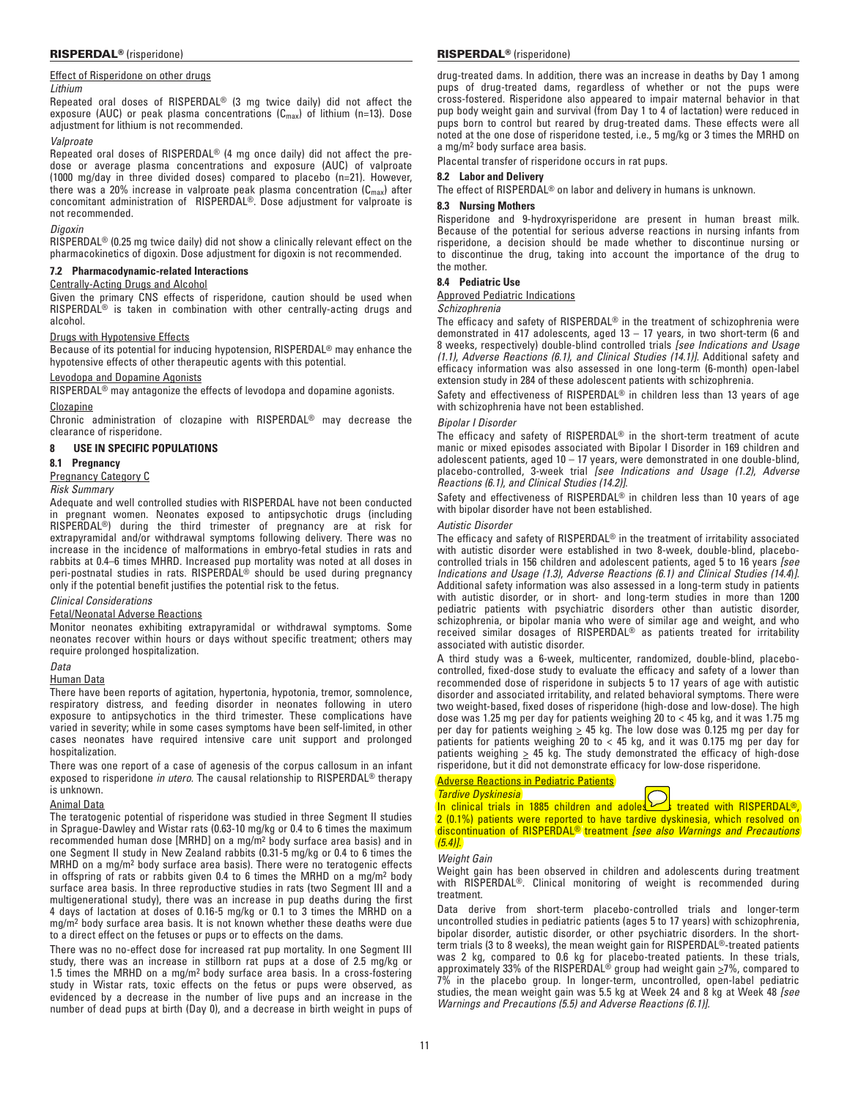# Effect of Risperidone on other drugs

## *Lithium*

Repeated oral doses of RISPERDAL® (3 mg twice daily) did not affect the exposure (AUC) or peak plasma concentrations  $(C_{\text{max}})$  of lithium (n=13). Dose adjustment for lithium is not recommended.

## *Valproate*

Repeated oral doses of RISPERDAL® (4 mg once daily) did not affect the predose or average plasma concentrations and exposure (AUC) of valproate (1000 mg/day in three divided doses) compared to placebo (n=21). However, there was a 20% increase in valproate peak plasma concentration (C<sub>max</sub>) after<br>concomitant administration of RISPERDAL®. Dose adjustment for valproate is not recommended.

## *Digoxin*

RISPERDAL® (0.25 mg twice daily) did not show a clinically relevant effect on the pharmacokinetics of digoxin. Dose adjustment for digoxin is not recommended.

# **7.2 Pharmacodynamic-related Interactions**

# Centrally-Acting Drugs and Alcohol

Given the primary CNS effects of risperidone, caution should be used when RISPERDAL® is taken in combination with other centrally-acting drugs and alcohol.

## Drugs with Hypotensive Effects

Because of its potential for inducing hypotension, RISPERDAL® may enhance the hypotensive effects of other therapeutic agents with this potential.

## Levodopa and Dopamine Agonists

RISPERDAL® may antagonize the effects of levodopa and dopamine agonists. Clozapine

Chronic administration of clozapine with RISPERDAL® may decrease the clearance of risperidone.

## **8 Use in Specific Populations**

## **8.1 Pregnancy**

### Pregnancy Category C

*Risk Summary*

Adequate and well controlled studies with RISPERDAL have not been conducted in pregnant women. Neonates exposed to antipsychotic drugs (including RISPERDAL®) during the third trimester of pregnancy are at risk for extrapyramidal and/or withdrawal symptoms following delivery. There was no increase in the incidence of malformations in embryo-fetal studies in rats and rabbits at 0.4–6 times MHRD. Increased pup mortality was noted at all doses in peri-postnatal studies in rats. RISPERDAL<sup>®</sup> should be used during pregnancy only if the potential benefit justifies the potential risk to the fetus.

# *Clinical Considerations*

### Fetal/Neonatal Adverse Reactions

Monitor neonates exhibiting extrapyramidal or withdrawal symptoms. Some neonates recover within hours or days without specific treatment; others may require prolonged hospitalization.

*Data*

## Human Data

There have been reports of agitation, hypertonia, hypotonia, tremor, somnolence, respiratory distress, and feeding disorder in neonates following in utero exposure to antipsychotics in the third trimester. These complications have varied in severity; while in some cases symptoms have been self-limited, in other cases neonates have required intensive care unit support and prolonged hospitalization.

There was one report of a case of agenesis of the corpus callosum in an infant exposed to risperidone *in utero*. The causal relationship to RISPERDAL® therapy is unknown.

# Animal Data

The teratogenic potential of risperidone was studied in three Segment II studies in Sprague-Dawley and Wistar rats (0.63-10 mg/kg or 0.4 to 6 times the maximum recommended human dose [MRHD] on a mg/m2 body surface area basis) and in one Segment II study in New Zealand rabbits (0.31‑5 mg/kg or 0.4 to 6 times the MRHD on a mg/m2 body surface area basis). There were no teratogenic effects in offspring of rats or rabbits given 0.4 to 6 times the MRHD on a mg/m2 body surface area basis. In three reproductive studies in rats (two Segment III and a multigenerational study), there was an increase in pup deaths during the first 4 days of lactation at doses of 0.16‑5 mg/kg or 0.1 to 3 times the MRHD on a mg/m2 body surface area basis. It is not known whether these deaths were due to a direct effect on the fetuses or pups or to effects on the dams.

There was no no-effect dose for increased rat pup mortality. In one Segment III study, there was an increase in stillborn rat pups at a dose of 2.5 mg/kg or 1.5 times the MRHD on a mg/m2 body surface area basis. In a cross-fostering study in Wistar rats, toxic effects on the fetus or pups were observed, as evidenced by a decrease in the number of live pups and an increase in the number of dead pups at birth (Day 0), and a decrease in birth weight in pups of

drug-treated dams. In addition, there was an increase in deaths by Day 1 among pups of drug-treated dams, regardless of whether or not the pups were cross‑fostered. Risperidone also appeared to impair maternal behavior in that pup body weight gain and survival (from Day 1 to 4 of lactation) were reduced in pups born to control but reared by drug-treated dams. These effects were all noted at the one dose of risperidone tested, i.e., 5 mg/kg or 3 times the MRHD on a mg/m2 body surface area basis.

Placental transfer of risperidone occurs in rat pups.

# **8.2 Labor and Delivery**

The effect of RISPERDAL® on labor and delivery in humans is unknown.

## **8.3 Nursing Mothers**

Risperidone and 9-hydroxyrisperidone are present in human breast milk. Because of the potential for serious adverse reactions in nursing infants from risperidone, a decision should be made whether to discontinue nursing or to discontinue the drug, taking into account the importance of the drug to the mother.

# **8.4 Pediatric Use**

Approved Pediatric Indications

## *Schizophrenia*

The efficacy and safety of RISPERDAL® in the treatment of schizophrenia were demonstrated in 417 adolescents, aged 13 – 17 years, in two short-term (6 and 8 weeks, respectively) double-blind controlled trials *[see Indications and Usage (1.1)*, *Adverse Reactions (6.1)*, *and Clinical Studies (14.1)].* Additional safety and efficacy information was also assessed in one long-term (6-month) open-label extension study in 284 of these adolescent patients with schizophrenia.

Safety and effectiveness of RISPERDAL<sup>®</sup> in children less than 13 years of age with schizophrenia have not been established.

## *Bipolar I Disorder*

The efficacy and safety of RISPERDAL® in the short-term treatment of acute manic or mixed episodes associated with Bipolar I Disorder in 169 children and adolescent patients, aged 10 – 17 years, were demonstrated in one double-blind, placebo-controlled, 3-week trial *[see Indications and Usage (1.2)*, *Adverse Reactions (6.1)*, *and Clinical Studies (14.2)]*.

Safety and effectiveness of RISPERDAL® in children less than 10 years of age with bipolar disorder have not been established.

### *Autistic Disorder*

The efficacy and safety of RISPERDAL® in the treatment of irritability associated with autistic disorder were established in two 8-week, double-blind, placebocontrolled trials in 156 children and adolescent patients, aged 5 to 16 years *[see Indications and Usage (1.3)*, *Adverse Reactions (6.1) and Clinical Studies (14.4*)*]*. Additional safety information was also assessed in a long-term study in patients with autistic disorder, or in short- and long-term studies in more than 1200 pediatric patients with psychiatric disorders other than autistic disorder, schizophrenia, or bipolar mania who were of similar age and weight, and who received similar dosages of RISPERDAL® as patients treated for irritability associated with autistic disorder.

A third study was a 6-week, multicenter, randomized, double-blind, placebocontrolled, fixed-dose study to evaluate the efficacy and safety of a lower than recommended dose of risperidone in subjects 5 to 17 years of age with autistic disorder and associated irritability, and related behavioral symptoms. There were two weight-based, fixed doses of risperidone (high-dose and low-dose). The high dose was 1.25 mg per day for patients weighing 20 to < 45 kg, and it was 1.75 mg per day for patients weighing  $\geq 45$  kg. The low dose was 0.125 mg per day for patients for patients weighing 20 to < 45 kg, and it was 0.175 mg per day for patients weighing  $\geq$  45 kg. The study demonstrated the efficacy of high-dose risperidone, but it did not demonstrate efficacy for low-dose risperidone.

Adverse Reactions in Pediatric Patients

*Tardive Dyskinesia*

In clinical trials in 1885 children and adoles  $\sum$  treated with RISPERDAL<sup>®</sup>. 2 (0.1%) patients were reported to have tardive dyskinesia, which resolved on discontinuation of RISPERDAL® treatment *[see also Warnings and Precautions (5.4)]*.

## *Weight Gain*

Weight gain has been observed in children and adolescents during treatment with RISPERDAL<sup>®</sup>. Clinical monitoring of weight is recommended during treatment.

Data derive from short-term placebo-controlled trials and longer-term uncontrolled studies in pediatric patients (ages 5 to 17 years) with schizophrenia, bipolar disorder, autistic disorder, or other psychiatric disorders. In the shortterm trials (3 to 8 weeks), the mean weight gain for RISPERDAL®-treated patients was 2 kg, compared to 0.6 kg for placebo-treated patients. In these trials, approximately 33% of the RISPERDAL<sup>®</sup> group had weight gain  $\geq$ 7%, compared to 7% in the placebo group. In longer-term, uncontrolled, open-label pediatric studies, the mean weight gain was 5.5 kg at Week 24 and 8 kg at Week 48 *[see Warnings and Precautions (5.5) and Adverse Reactions (6.1)].*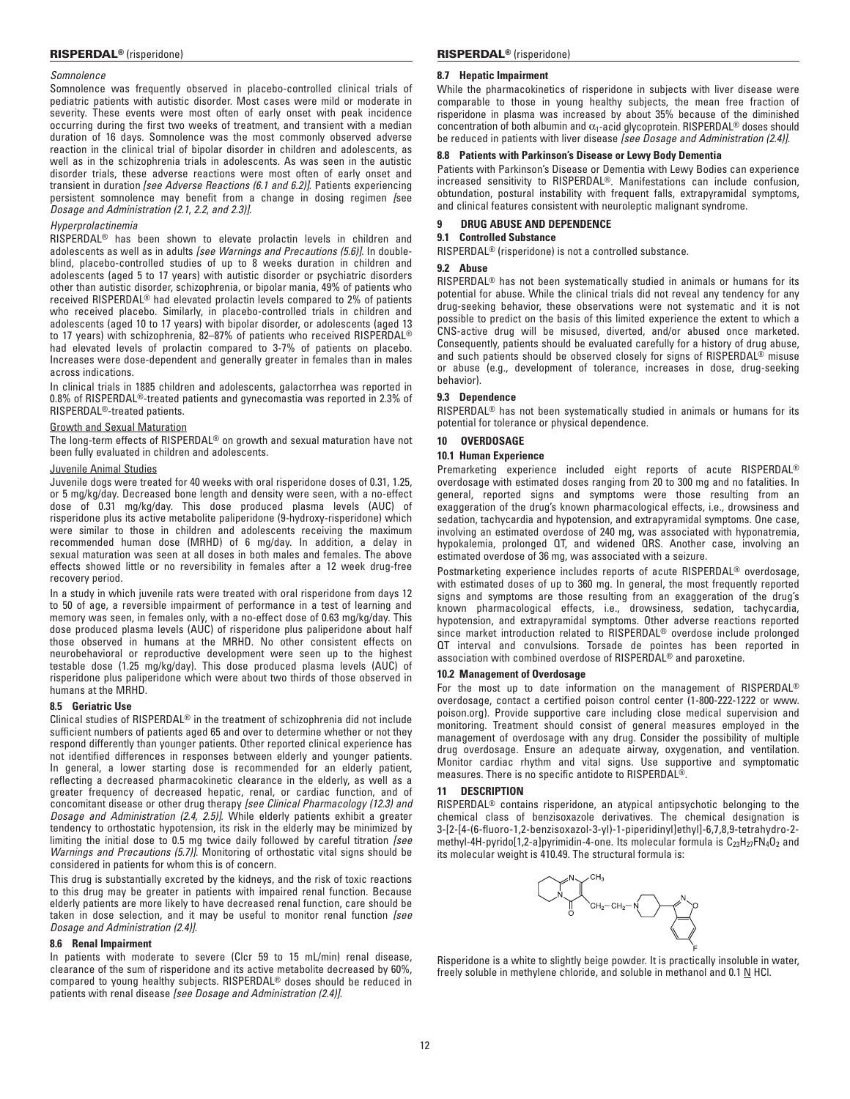## *Somnolence*

Somnolence was frequently observed in placebo-controlled clinical trials of pediatric patients with autistic disorder. Most cases were mild or moderate in severity. These events were most often of early onset with peak incidence occurring during the first two weeks of treatment, and transient with a median duration of 16 days. Somnolence was the most commonly observed adverse reaction in the clinical trial of bipolar disorder in children and adolescents, as well as in the schizophrenia trials in adolescents. As was seen in the autistic disorder trials, these adverse reactions were most often of early onset and transient in duration *[see Adverse Reactions (6.1 and 6.2)]*. Patients experiencing persistent somnolence may benefit from a change in dosing regimen *[*see *Dosage and Administration (2.1*, *2.2*, *and 2.3)]*.

# *Hyperprolactinemia*

RISPERDAL® has been shown to elevate prolactin levels in children and adolescents as well as in adults *[see Warnings and Precautions (5.6)]*. In doubleblind, placebo-controlled studies of up to 8 weeks duration in children and adolescents (aged 5 to 17 years) with autistic disorder or psychiatric disorders other than autistic disorder, schizophrenia, or bipolar mania, 49% of patients who received RISPERDAL® had elevated prolactin levels compared to 2% of patients who received placebo. Similarly, in placebo-controlled trials in children and adolescents (aged 10 to 17 years) with bipolar disorder, or adolescents (aged 13 to 17 years) with schizophrenia, 82–87% of patients who received RISPERDAL® had elevated levels of prolactin compared to 3-7% of patients on placebo. Increases were dose-dependent and generally greater in females than in males across indications.

In clinical trials in 1885 children and adolescents, galactorrhea was reported in 0.8% of RISPERDAL®-treated patients and gynecomastia was reported in 2.3% of RISPERDAL®-treated patients.

## Growth and Sexual Maturation

The long-term effects of RISPERDAL® on growth and sexual maturation have not been fully evaluated in children and adolescents.

## Juvenile Animal Studies

Juvenile dogs were treated for 40 weeks with oral risperidone doses of 0.31, 1.25, or 5 mg/kg/day. Decreased bone length and density were seen, with a no-effect dose of 0.31 mg/kg/day. This dose produced plasma levels (AUC) of risperidone plus its active metabolite paliperidone (9-hydroxy-risperidone) which were similar to those in children and adolescents receiving the maximum recommended human dose (MRHD) of 6 mg/day. In addition, a delay in sexual maturation was seen at all doses in both males and females. The above effects showed little or no reversibility in females after a 12 week drug-free recovery period.

In a study in which juvenile rats were treated with oral risperidone from days 12 to 50 of age, a reversible impairment of performance in a test of learning and memory was seen, in females only, with a no-effect dose of 0.63 mg/kg/day. This dose produced plasma levels (AUC) of risperidone plus paliperidone about half those observed in humans at the MRHD. No other consistent effects on neurobehavioral or reproductive development were seen up to the highest testable dose (1.25 mg/kg/day). This dose produced plasma levels (AUC) of risperidone plus paliperidone which were about two thirds of those observed in humans at the MRHD.

### **8.5 Geriatric Use**

Clinical studies of RISPERDAL® in the treatment of schizophrenia did not include sufficient numbers of patients aged 65 and over to determine whether or not they respond differently than younger patients. Other reported clinical experience has not identified differences in responses between elderly and younger patients. In general, a lower starting dose is recommended for an elderly patient, reflecting a decreased pharmacokinetic clearance in the elderly, as well as a greater frequency of decreased hepatic, renal, or cardiac function, and of concomitant disease or other drug therapy *[see Clinical Pharmacology (12.3) and Dosage and Administration (2.4, 2.5)]*. While elderly patients exhibit a greater tendency to orthostatic hypotension, its risk in the elderly may be minimized by limiting the initial dose to 0.5 mg twice daily followed by careful titration *[see Warnings and Precautions (5.7)]*. Monitoring of orthostatic vital signs should be considered in patients for whom this is of concern.

This drug is substantially excreted by the kidneys, and the risk of toxic reactions to this drug may be greater in patients with impaired renal function. Because elderly patients are more likely to have decreased renal function, care should be taken in dose selection, and it may be useful to monitor renal function *[see Dosage and Administration (2.4)]*.

# **8.6 Renal Impairment**

In patients with moderate to severe (Clcr 59 to 15 mL/min) renal disease, clearance of the sum of risperidone and its active metabolite decreased by 60%, compared to young healthy subjects. RISPERDAL® doses should be reduced in patients with renal disease *[see Dosage and Administration (2.4)]*.

## **8.7 Hepatic Impairment**

While the pharmacokinetics of risperidone in subjects with liver disease were comparable to those in young healthy subjects, the mean free fraction of risperidone in plasma was increased by about 35% because of the diminished concentration of both albumin and  $\alpha_1$ -acid glycoprotein. RISPERDAL<sup>®</sup> doses should be reduced in patients with liver disease *[see Dosage and Administration (2.4)]*.

# **8.8 Patients with Parkinson's Disease or Lewy Body Dementia**

Patients with Parkinson's Disease or Dementia with Lewy Bodies can experience increased sensitivity to RISPERDAL®. Manifestations can include confusion, obtundation, postural instability with frequent falls, extrapyramidal symptoms, and clinical features consistent with neuroleptic malignant syndrome.

# **9 DRUG ABUSE AND DEPENDENCE**

# **9.1 Controlled Substance**

RISPERDAL® (risperidone) is not a controlled substance.

# **9.2 Abuse**

RISPERDAL® has not been systematically studied in animals or humans for its potential for abuse. While the clinical trials did not reveal any tendency for any drug-seeking behavior, these observations were not systematic and it is not possible to predict on the basis of this limited experience the extent to which a CNS-active drug will be misused, diverted, and/or abused once marketed. Consequently, patients should be evaluated carefully for a history of drug abuse, and such patients should be observed closely for signs of RISPERDAL® misuse or abuse (e.g., development of tolerance, increases in dose, drug-seeking behavior).

# **9.3 Dependence**

RISPERDAL® has not been systematically studied in animals or humans for its potential for tolerance or physical dependence.

# **10 OVERDOSAGE**

# **10.1 Human Experience**

Premarketing experience included eight reports of acute RISPERDAL® overdosage with estimated doses ranging from 20 to 300 mg and no fatalities. In general, reported signs and symptoms were those resulting from an exaggeration of the drug's known pharmacological effects, i.e., drowsiness and sedation, tachycardia and hypotension, and extrapyramidal symptoms. One case, involving an estimated overdose of 240 mg, was associated with hyponatremia, hypokalemia, prolonged QT, and widened QRS. Another case, involving an estimated overdose of 36 mg, was associated with a seizure.

Postmarketing experience includes reports of acute RISPERDAL® overdosage, with estimated doses of up to 360 mg. In general, the most frequently reported signs and symptoms are those resulting from an exaggeration of the drug's known pharmacological effects, i.e., drowsiness, sedation, tachycardia, hypotension, and extrapyramidal symptoms. Other adverse reactions reported since market introduction related to RISPERDAL® overdose include prolonged QT interval and convulsions. Torsade de pointes has been reported in association with combined overdose of RISPERDAL® and paroxetine.

### **10.2 Management of Overdosage**

For the most up to date information on the management of RISPERDAL® overdosage, contact a certified poison control center (1-800-222-1222 or www. poison.org). Provide supportive care including close medical supervision and monitoring. Treatment should consist of general measures employed in the management of overdosage with any drug. Consider the possibility of multiple drug overdosage. Ensure an adequate airway, oxygenation, and ventilation. Monitor cardiac rhythm and vital signs. Use supportive and symptomatic measures. There is no specific antidote to RISPERDAL®.

## **11 DESCRIPTION**

RISPERDAL® contains risperidone, an atypical antipsychotic belonging to the chemical class of benzisoxazole derivatives. The chemical designation is 3-[2-[4-(6-fluoro-1,2-benzisoxazol-3-yl)-1-piperidinyl]ethyl]-6,7,8,9-tetrahydro-2 methyl-4H-pyrido[1,2-a]pyrimidin-4-one. Its molecular formula is  $C_{23}H_{27}FN_4O_2$  and its molecular weight is 410.49. The structural formula is:



Risperidone is a white to slightly beige powder. It is practically insoluble in water, freely soluble in methylene chloride, and soluble in methanol and 0.1 N HCl.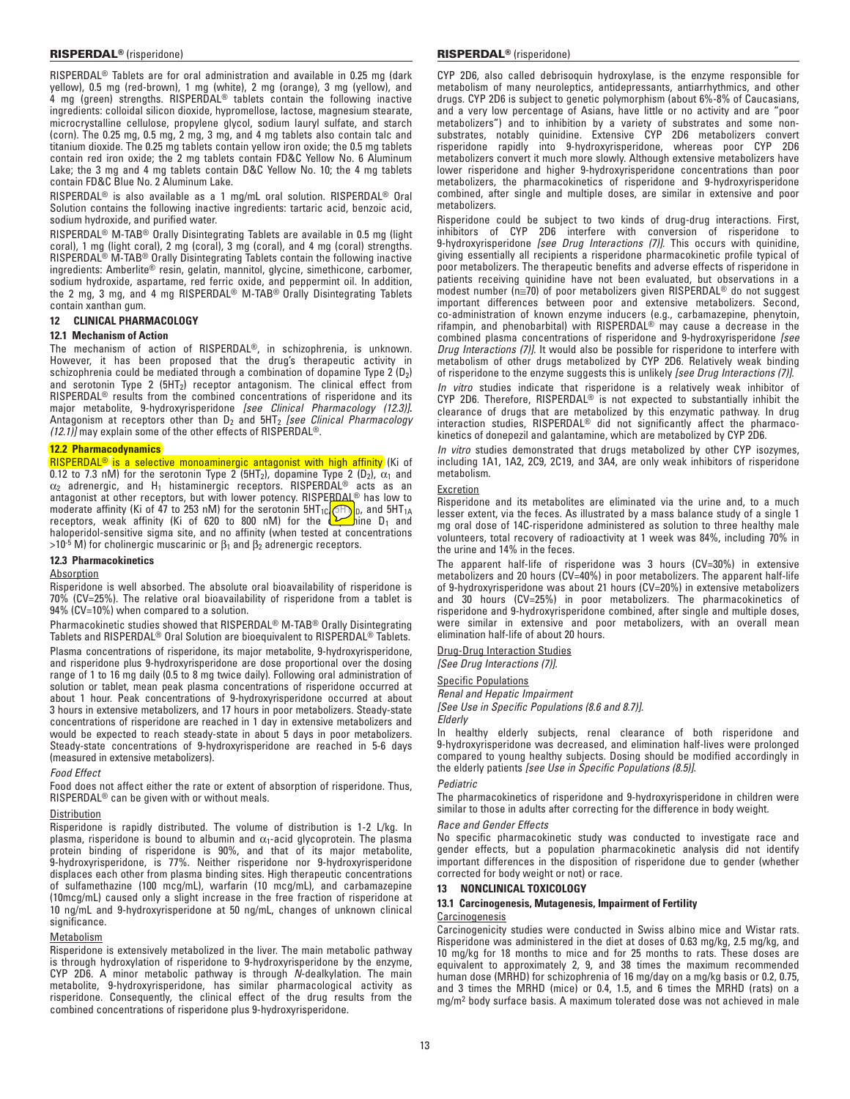RISPERDAL® Tablets are for oral administration and available in 0.25 mg (dark yellow), 0.5 mg (red-brown), 1 mg (white), 2 mg (orange), 3 mg (yellow), and 4 mg (green) strengths. RISPERDAL<sup>®</sup> tablets contain the following inactive ingredients: colloidal silicon dioxide, hypromellose, lactose, magnesium stearate, microcrystalline cellulose, propylene glycol, sodium lauryl sulfate, and starch (corn). The 0.25 mg, 0.5 mg, 2 mg, 3 mg, and 4 mg tablets also contain talc and titanium dioxide. The 0.25 mg tablets contain yellow iron oxide; the 0.5 mg tablets contain red iron oxide; the 2 mg tablets contain FD&C Yellow No. 6 Aluminum Lake; the 3 mg and 4 mg tablets contain D&C Yellow No. 10; the 4 mg tablets contain FD&C Blue No. 2 Aluminum Lake.

RISPERDAL® is also available as a 1 mg/mL oral solution. RISPERDAL® Oral Solution contains the following inactive ingredients: tartaric acid, benzoic acid, sodium hydroxide, and purified water.

RISPERDAL® M-TAB® Orally Disintegrating Tablets are available in 0.5 mg (light coral), 1 mg (light coral), 2 mg (coral), 3 mg (coral), and 4 mg (coral) strengths. RISPERDAL® M-TAB® Orally Disintegrating Tablets contain the following inactive ingredients: Amberlite® resin, gelatin, mannitol, glycine, simethicone, carbomer, sodium hydroxide, aspartame, red ferric oxide, and peppermint oil. In addition, the 2 mg, 3 mg, and 4 mg RISPERDAL® M-TAB® Orally Disintegrating Tablets contain xanthan gum.

### **12 CLINICAL PHARMACOLOGY**

## **12.1 Mechanism of Action**

The mechanism of action of RISPERDAL®, in schizophrenia, is unknown. However, it has been proposed that the drug's therapeutic activity in schizophrenia could be mediated through a combination of dopamine Type 2 (D<sub>2</sub>) and serotonin Type 2  $(5HT<sub>2</sub>)$  receptor antagonism. The clinical effect from RISPERDAL<sup>®</sup> results from the combined concentrations of risperidone and its major metabolite, 9-hydroxyrisperidone *[see Clinical Pharmacology (12.3)]***.**  Antagonism at receptors other than D<sub>2</sub> and 5HT<sub>2</sub> *[see Clinical Pharmacology (12.1)]* may explain some of the other effects of RISPERDAL®.

## **12.2 Pharmacodynamics**

**RISPERDAL<sup>®</sup> is a selective monoaminergic antagonist with high affinity** (Ki of 0.12 to 7.3 nM) for the serotonin Type 2 ( $5HT_2$ ), dopamine Type 2 ( $D_2$ ),  $\alpha_1$  and  $\alpha_2$  adrenergic, and H<sub>1</sub> histaminergic receptors. RISPERDAL<sup>®</sup> acts as an antagonist at other receptors, but with lower potency. RISPERDAL® has low to moderate affinity (Ki of 47 to 253 nM) for the serotonin 5HT<sub>1C</sub> (SFT)  $_{\rm 0}$ , and 5HT<sub>1A</sub> receptors, weak affinity (Ki of 620 to 800 nM) for the  $\sum_{i=1}^{\infty}$ hine D<sub>1</sub> and haloperidol-sensitive sigma site, and no affinity (when tested at concentrations  $>10^{-5}$  M) for cholinergic muscarinic or  $\beta_1$  and  $\beta_2$  adrenergic receptors.

### **12.3 Pharmacokinetics**

#### **Absorption**

Risperidone is well absorbed. The absolute oral bioavailability of risperidone is 70% (CV=25%). The relative oral bioavailability of risperidone from a tablet is 94% (CV=10%) when compared to a solution.

Pharmacokinetic studies showed that RISPERDAL® M-TAB® Orally Disintegrating Tablets and RISPERDAL® Oral Solution are bioequivalent to RISPERDAL® Tablets.

Plasma concentrations of risperidone, its major metabolite, 9-hydroxyrisperidone, and risperidone plus 9-hydroxyrisperidone are dose proportional over the dosing range of 1 to 16 mg daily (0.5 to 8 mg twice daily). Following oral administration of solution or tablet, mean peak plasma concentrations of risperidone occurred at about 1 hour. Peak concentrations of 9‑hydroxyrisperidone occurred at about 3 hours in extensive metabolizers, and 17 hours in poor metabolizers. Steady-state concentrations of risperidone are reached in 1 day in extensive metabolizers and would be expected to reach steady-state in about 5 days in poor metabolizers. Steady-state concentrations of 9-hydroxyrisperidone are reached in 5-6 days (measured in extensive metabolizers).

### *Food Effect*

Food does not affect either the rate or extent of absorption of risperidone. Thus, RISPERDAL® can be given with or without meals.

### **Distribution**

Risperidone is rapidly distributed. The volume of distribution is 1-2 L/kg. In plasma, risperidone is bound to albumin and  $\alpha_1$ -acid glycoprotein. The plasma protein binding of risperidone is 90%, and that of its major metabolite, 9-hydroxyrisperidone, is 77%. Neither risperidone nor 9-hydroxyrisperidone displaces each other from plasma binding sites. High therapeutic concentrations of sulfamethazine (100 mcg/mL), warfarin (10 mcg/mL), and carbamazepine (10mcg/mL) caused only a slight increase in the free fraction of risperidone at 10 ng/mL and 9‑hydroxyrisperidone at 50 ng/mL, changes of unknown clinical significance.

## Metabolism

Risperidone is extensively metabolized in the liver. The main metabolic pathway is through hydroxylation of risperidone to 9-hydroxyrisperidone by the enzyme, CYP 2D6. A minor metabolic pathway is through *N*-dealkylation. The main metabolite, 9-hydroxyrisperidone, has similar pharmacological activity as risperidone. Consequently, the clinical effect of the drug results from the combined concentrations of risperidone plus 9-hydroxyrisperidone.

CYP 2D6, also called debrisoquin hydroxylase, is the enzyme responsible for metabolism of many neuroleptics, antidepressants, antiarrhythmics, and other drugs. CYP 2D6 is subject to genetic polymorphism (about 6%-8% of Caucasians, and a very low percentage of Asians, have little or no activity and are "poor metabolizers") and to inhibition by a variety of substrates and some nonsubstrates, notably quinidine. Extensive CYP 2D6 metabolizers convert risperidone rapidly into 9‑hydroxyrisperidone, whereas poor CYP 2D6 metabolizers convert it much more slowly. Although extensive metabolizers have lower risperidone and higher 9-hydroxyrisperidone concentrations than poor metabolizers, the pharmacokinetics of risperidone and 9-hydroxyrisperidone combined, after single and multiple doses, are similar in extensive and poor metabolizers.

Risperidone could be subject to two kinds of drug-drug interactions. First, inhibitors of CYP 2D6 interfere with conversion of risperidone to 9-hydroxyrisperidone *[see Drug Interactions (7)]*. This occurs with quinidine, giving essentially all recipients a risperidone pharmacokinetic profile typical of poor metabolizers. The therapeutic benefits and adverse effects of risperidone in patients receiving quinidine have not been evaluated, but observations in a modest number ( $n \equiv 70$ ) of poor metabolizers given RISPERDAL<sup>®</sup> do not suggest important differences between poor and extensive metabolizers. Second, co-administration of known enzyme inducers (e.g., carbamazepine, phenytoin, rifampin, and phenobarbital) with RISPERDAL® may cause a decrease in the combined plasma concentrations of risperidone and 9‑hydroxyrisperidone *[see Drug Interactions (7)]*. It would also be possible for risperidone to interfere with metabolism of other drugs metabolized by CYP 2D6. Relatively weak binding of risperidone to the enzyme suggests this is unlikely *[see Drug Interactions (7)]*. *In vitro* studies indicate that risperidone is a relatively weak inhibitor of CYP 2D6. Therefore, RISPERDAL® is not expected to substantially inhibit the

clearance of drugs that are metabolized by this enzymatic pathway. In drug interaction studies, RISPERDAL® did not significantly affect the pharmacokinetics of donepezil and galantamine, which are metabolized by CYP 2D6.

*In vitro* studies demonstrated that drugs metabolized by other CYP isozymes, including 1A1, 1A2, 2C9, 2C19, and 3A4, are only weak inhibitors of risperidone metabolism.

### Excretion

Risperidone and its metabolites are eliminated via the urine and, to a much lesser extent, via the feces. As illustrated by a mass balance study of a single 1 mg oral dose of 14C-risperidone administered as solution to three healthy male volunteers, total recovery of radioactivity at 1 week was 84%, including 70% in the urine and 14% in the feces.

The apparent half-life of risperidone was 3 hours (CV=30%) in extensive metabolizers and 20 hours (CV=40%) in poor metabolizers. The apparent half-life of 9-hydroxyrisperidone was about 21 hours (CV=20%) in extensive metabolizers and 30 hours (CV=25%) in poor metabolizers. The pharmacokinetics of risperidone and 9-hydroxyrisperidone combined, after single and multiple doses, were similar in extensive and poor metabolizers, with an overall mean elimination half-life of about 20 hours.

Drug-Drug Interaction Studies

# *[See Drug Interactions (7)].*

# Specific Populations

*Renal and Hepatic Impairment [See Use in Specific Populations (8.6 and 8.7)].*

*Elderly*

In healthy elderly subjects, renal clearance of both risperidone and 9‑hydroxyrisperidone was decreased, and elimination half-lives were prolonged compared to young healthy subjects. Dosing should be modified accordingly in the elderly patients *[see Use in Specific Populations (8.5)]*.

### *Pediatric*

The pharmacokinetics of risperidone and 9-hydroxyrisperidone in children were similar to those in adults after correcting for the difference in body weight.

## *Race and Gender Effects*

No specific pharmacokinetic study was conducted to investigate race and gender effects, but a population pharmacokinetic analysis did not identify important differences in the disposition of risperidone due to gender (whether corrected for body weight or not) or race.

### **13 NONCLINICAL TOXICOLOGY**

### **13.1 Carcinogenesis, Mutagenesis, Impairment of Fertility**

### **Carcinogenesis**

Carcinogenicity studies were conducted in Swiss albino mice and Wistar rats. Risperidone was administered in the diet at doses of 0.63 mg/kg, 2.5 mg/kg, and 10 mg/kg for 18 months to mice and for 25 months to rats. These doses are equivalent to approximately 2, 9, and 38 times the maximum recommended human dose (MRHD) for schizophrenia of 16 mg/day on a mg/kg basis or 0.2, 0.75, and 3 times the MRHD (mice) or 0.4, 1.5, and 6 times the MRHD (rats) on a mg/m2 body surface basis. A maximum tolerated dose was not achieved in male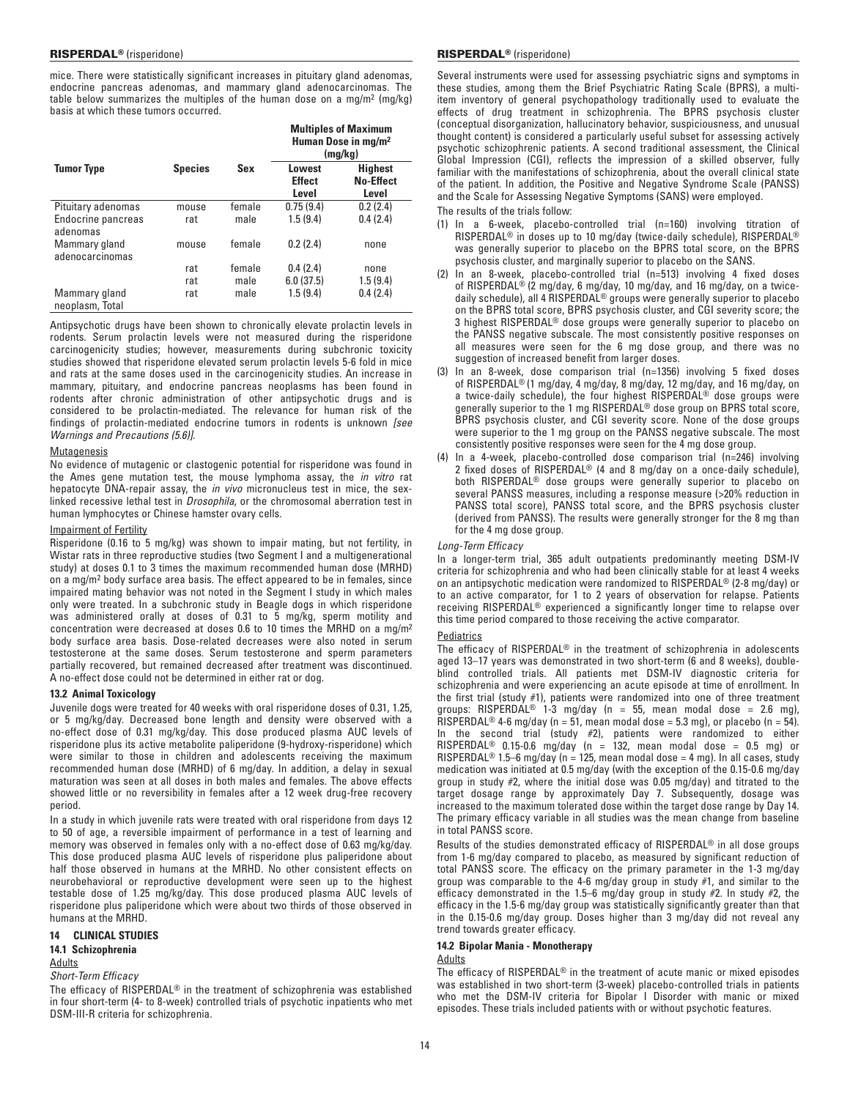mice. There were statistically significant increases in pituitary gland adenomas, endocrine pancreas adenomas, and mammary gland adenocarcinomas. The table below summarizes the multiples of the human dose on a mg/m<sup>2</sup>  $(mg/kg)$ basis at which these tumors occurred.

|                                  | <b>Species</b> |        | <b>Multiples of Maximum</b><br>Human Dose in mg/m <sup>2</sup><br>(mg/kg) |                                             |  |
|----------------------------------|----------------|--------|---------------------------------------------------------------------------|---------------------------------------------|--|
| <b>Tumor Type</b>                |                | Sex    | Lowest<br><b>Effect</b><br>Level                                          | <b>Highest</b><br><b>No-Effect</b><br>Level |  |
| Pituitary adenomas               | mouse          | female | 0.75(9.4)                                                                 | 0.2(2.4)                                    |  |
| Endocrine pancreas<br>adenomas   | rat            | male   | 1.5(9.4)                                                                  | 0.4(2.4)                                    |  |
| Mammary gland<br>adenocarcinomas | mouse          | female | 0.2(2.4)                                                                  | none                                        |  |
|                                  | rat            | female | 0.4(2.4)                                                                  | none                                        |  |
|                                  | rat            | male   | 6.0(37.5)                                                                 | 1.5(9.4)                                    |  |
| Mammary gland<br>neoplasm, Total | rat            | male   | 1.5(9.4)                                                                  | 0.4(2.4)                                    |  |

Antipsychotic drugs have been shown to chronically elevate prolactin levels in rodents. Serum prolactin levels were not measured during the risperidone carcinogenicity studies; however, measurements during subchronic toxicity studies showed that risperidone elevated serum prolactin levels 5-6 fold in mice and rats at the same doses used in the carcinogenicity studies. An increase in mammary, pituitary, and endocrine pancreas neoplasms has been found in rodents after chronic administration of other antipsychotic drugs and is considered to be prolactin-mediated. The relevance for human risk of the findings of prolactin‑mediated endocrine tumors in rodents is unknown *[see Warnings and Precautions (5.6)]*.

## **Mutagenesis**

No evidence of mutagenic or clastogenic potential for risperidone was found in the Ames gene mutation test, the mouse lymphoma assay, the *in vitro* rat hepatocyte DNA-repair assay, the *in vivo* micronucleus test in mice, the sexlinked recessive lethal test in *Drosophila*, or the chromosomal aberration test in human lymphocytes or Chinese hamster ovary cells.

## Impairment of Fertility

Risperidone (0.16 to 5 mg/kg) was shown to impair mating, but not fertility, in Wistar rats in three reproductive studies (two Segment I and a multigenerational study) at doses 0.1 to 3 times the maximum recommended human dose (MRHD) on a mg/m2 body surface area basis. The effect appeared to be in females, since impaired mating behavior was not noted in the Segment I study in which males only were treated. In a subchronic study in Beagle dogs in which risperidone was administered orally at doses of 0.31 to 5 mg/kg, sperm motility and concentration were decreased at doses 0.6 to 10 times the MRHD on a mg/m2 body surface area basis. Dose-related decreases were also noted in serum testosterone at the same doses. Serum testosterone and sperm parameters partially recovered, but remained decreased after treatment was discontinued. A no‑effect dose could not be determined in either rat or dog.

### **13.2 Animal Toxicology**

Juvenile dogs were treated for 40 weeks with oral risperidone doses of 0.31, 1.25, or 5 mg/kg/day. Decreased bone length and density were observed with a no-effect dose of 0.31 mg/kg/day. This dose produced plasma AUC levels of risperidone plus its active metabolite paliperidone (9-hydroxy-risperidone) which were similar to those in children and adolescents receiving the maximum recommended human dose (MRHD) of 6 mg/day. In addition, a delay in sexual maturation was seen at all doses in both males and females. The above effects showed little or no reversibility in females after a 12 week drug-free recovery period.

In a study in which juvenile rats were treated with oral risperidone from days 12 to 50 of age, a reversible impairment of performance in a test of learning and memory was observed in females only with a no-effect dose of 0.63 mg/kg/day. This dose produced plasma AUC levels of risperidone plus paliperidone about half those observed in humans at the MRHD. No other consistent effects on neurobehavioral or reproductive development were seen up to the highest testable dose of 1.25 mg/kg/day. This dose produced plasma AUC levels of risperidone plus paliperidone which were about two thirds of those observed in humans at the MRHD.

### **14 CLINICAL STUDIES**

### **14.1 Schizophrenia**

## **Adults**

*Short-Term Efficacy*

The efficacy of RISPERDAL® in the treatment of schizophrenia was established in four short-term (4- to 8-week) controlled trials of psychotic inpatients who met DSM‑III-R criteria for schizophrenia.

## RISPERDAL® (risperidone) RISPERDAL® (risperidone)

Several instruments were used for assessing psychiatric signs and symptoms in these studies, among them the Brief Psychiatric Rating Scale (BPRS), a multiitem inventory of general psychopathology traditionally used to evaluate the effects of drug treatment in schizophrenia. The BPRS psychosis cluster (conceptual disorganization, hallucinatory behavior, suspiciousness, and unusual thought content) is considered a particularly useful subset for assessing actively psychotic schizophrenic patients. A second traditional assessment, the Clinical Global Impression (CGI), reflects the impression of a skilled observer, fully familiar with the manifestations of schizophrenia, about the overall clinical state of the patient. In addition, the Positive and Negative Syndrome Scale (PANSS) and the Scale for Assessing Negative Symptoms (SANS) were employed.

The results of the trials follow:

- (1) In a 6-week, placebo-controlled trial (n=160) involving titration of RISPERDAL® in doses up to 10 mg/day (twice-daily schedule), RISPERDAL® was generally superior to placebo on the BPRS total score, on the BPRS psychosis cluster, and marginally superior to placebo on the SANS.
- (2) In an 8-week, placebo-controlled trial (n=513) involving 4 fixed doses of RISPERDAL® (2 mg/day, 6 mg/day, 10 mg/day, and 16 mg/day, on a twicedaily schedule), all 4 RISPERDAL® groups were generally superior to placebo on the BPRS total score, BPRS psychosis cluster, and CGI severity score; the 3 highest RISPERDAL® dose groups were generally superior to placebo on the PANSS negative subscale. The most consistently positive responses on all measures were seen for the 6 mg dose group, and there was no suggestion of increased benefit from larger doses.
- (3) In an 8-week, dose comparison trial (n=1356) involving 5 fixed doses of RISPERDAL® (1 mg/day, 4 mg/day, 8 mg/day, 12 mg/day, and 16 mg/day, on a twice-daily schedule), the four highest RISPERDAL<sup>®</sup> dose groups were generally superior to the 1 mg RISPERDAL® dose group on BPRS total score, BPRS psychosis cluster, and CGI severity score. None of the dose groups were superior to the 1 mg group on the PANSS negative subscale. The most consistently positive responses were seen for the 4 mg dose group.
- (4) In a 4-week, placebo-controlled dose comparison trial (n=246) involving 2 fixed doses of RISPERDAL® (4 and 8 mg/day on a once-daily schedule), both RISPERDAL® dose groups were generally superior to placebo on several PANSS measures, including a response measure (>20% reduction in PANSS total score), PANSS total score, and the BPRS psychosis cluster (derived from PANSS). The results were generally stronger for the 8 mg than for the 4 mg dose group.

### *Long-Term Efficacy*

In a longer-term trial, 365 adult outpatients predominantly meeting DSM-IV criteria for schizophrenia and who had been clinically stable for at least 4 weeks on an antipsychotic medication were randomized to RISPERDAL® (2-8 mg/day) or to an active comparator, for 1 to 2 years of observation for relapse. Patients receiving RISPERDAL® experienced a significantly longer time to relapse over this time period compared to those receiving the active comparator.

### **Pediatrics**

The efficacy of RISPERDAL® in the treatment of schizophrenia in adolescents aged 13–17 years was demonstrated in two short-term (6 and 8 weeks), doubleblind controlled trials. All patients met DSM-IV diagnostic criteria for schizophrenia and were experiencing an acute episode at time of enrollment. In the first trial (study #1), patients were randomized into one of three treatment groups: RISPERDAL® 1-3 mg/day (n = 55, mean modal dose = 2.6 mg), RISPERDAL<sup>®</sup> 4-6 mg/day (n = 51, mean modal dose = 5.3 mg), or placebo (n = 54). In the second trial (study #2), patients were randomized to either RISPERDAL® 0.15-0.6 mg/day (n = 132, mean modal dose = 0.5 mg) or RISPERDAL<sup>®</sup> 1.5–6 mg/day (n = 125, mean modal dose = 4 mg). In all cases, study medication was initiated at 0.5 mg/day (with the exception of the 0.15-0.6 mg/day group in study #2, where the initial dose was 0.05 mg/day) and titrated to the target dosage range by approximately Day 7. Subsequently, dosage was increased to the maximum tolerated dose within the target dose range by Day 14. The primary efficacy variable in all studies was the mean change from baseline in total PANSS score.

Results of the studies demonstrated efficacy of RISPERDAL® in all dose groups from 1‑6 mg/day compared to placebo, as measured by significant reduction of total PANSS score. The efficacy on the primary parameter in the 1-3 mg/day group was comparable to the 4-6 mg/day group in study #1, and similar to the efficacy demonstrated in the 1.5–6 mg/day group in study #2. In study #2, the efficacy in the 1.5-6 mg/day group was statistically significantly greater than that in the 0.15-0.6 mg/day group. Doses higher than 3 mg/day did not reveal any trend towards greater efficacy.

## **14.2 Bipolar Mania - Monotherapy**

## Adults

The efficacy of RISPERDAL® in the treatment of acute manic or mixed episodes was established in two short-term (3-week) placebo-controlled trials in patients who met the DSM-IV criteria for Bipolar I Disorder with manic or mixed episodes. These trials included patients with or without psychotic features.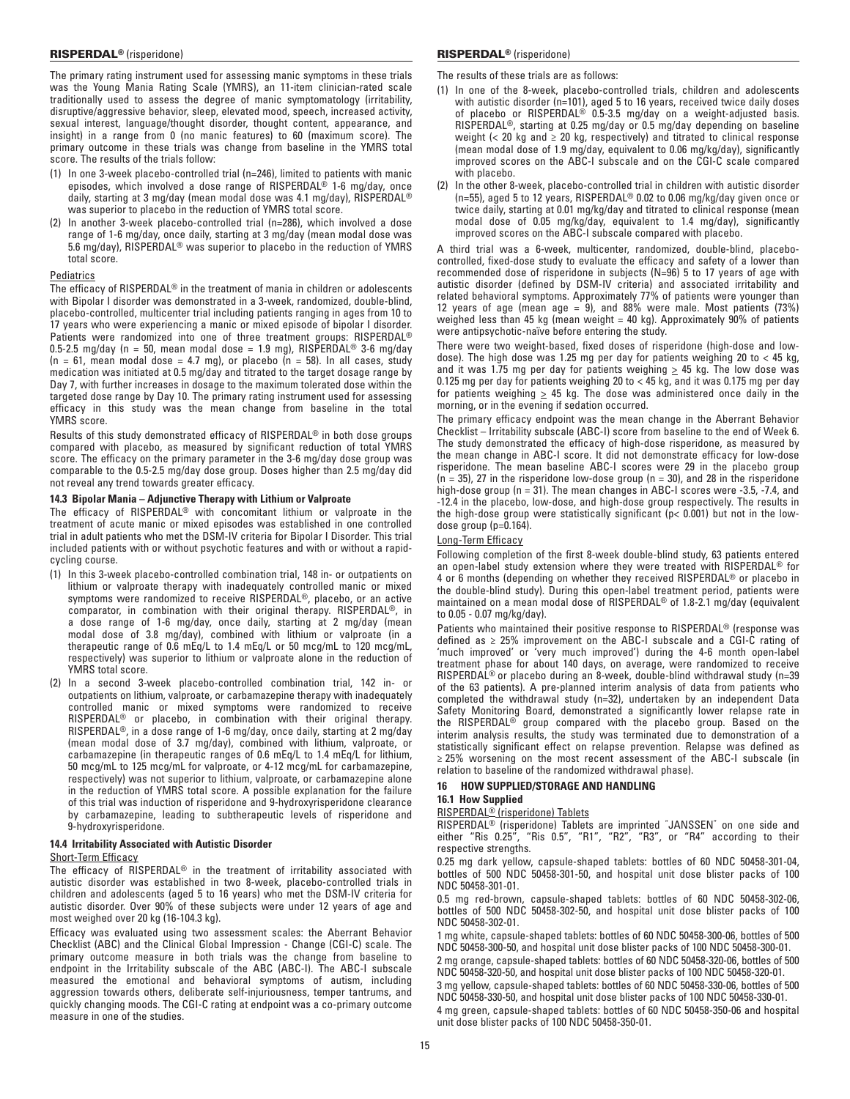The primary rating instrument used for assessing manic symptoms in these trials was the Young Mania Rating Scale (YMRS), an 11-item clinician-rated scale traditionally used to assess the degree of manic symptomatology (irritability, disruptive/aggressive behavior, sleep, elevated mood, speech, increased activity, sexual interest, language/thought disorder, thought content, appearance, and insight) in a range from 0 (no manic features) to 60 (maximum score). The primary outcome in these trials was change from baseline in the YMRS total score. The results of the trials follow:

- (1) In one 3-week placebo-controlled trial (n=246), limited to patients with manic episodes, which involved a dose range of RISPERDAL® 1-6 mg/day, once daily, starting at 3 mg/day (mean modal dose was 4.1 mg/day), RISPERDAL® was superior to placebo in the reduction of YMRS total score.
- (2) In another 3-week placebo-controlled trial (n=286), which involved a dose range of 1‑6 mg/day, once daily, starting at 3 mg/day (mean modal dose was 5.6 mg/day), RISPERDAL® was superior to placebo in the reduction of YMRS total score.

#### **Pediatrics**

The efficacy of RISPERDAL® in the treatment of mania in children or adolescents with Bipolar I disorder was demonstrated in a 3-week, randomized, double-blind, placebo-controlled, multicenter trial including patients ranging in ages from 10 to 17 years who were experiencing a manic or mixed episode of bipolar I disorder. Patients were randomized into one of three treatment groups: RISPERDAL® 0.5-2.5 mg/day (n = 50, mean modal dose = 1.9 mg), RISPERDAL<sup>®</sup> 3-6 mg/day  $(n = 61,$  mean modal dose = 4.7 mg), or placebo  $(n = 58)$ . In all cases, study medication was initiated at 0.5 mg/day and titrated to the target dosage range by Day 7, with further increases in dosage to the maximum tolerated dose within the targeted dose range by Day 10. The primary rating instrument used for assessing efficacy in this study was the mean change from baseline in the total YMRS score.

Results of this study demonstrated efficacy of RISPERDAL® in both dose groups compared with placebo, as measured by significant reduction of total YMRS score. The efficacy on the primary parameter in the 3-6 mg/day dose group was comparable to the 0.5-2.5 mg/day dose group. Doses higher than 2.5 mg/day did not reveal any trend towards greater efficacy.

## **14.3 Bipolar Mania – Adjunctive Therapy with Lithium or Valproate**

The efficacy of RISPERDAL® with concomitant lithium or valproate in the treatment of acute manic or mixed episodes was established in one controlled trial in adult patients who met the DSM-IV criteria for Bipolar I Disorder. This trial included patients with or without psychotic features and with or without a rapidcycling course.

- (1) In this 3-week placebo-controlled combination trial, 148 in- or outpatients on lithium or valproate therapy with inadequately controlled manic or mixed symptoms were randomized to receive RISPERDAL®, placebo, or an active comparator, in combination with their original therapy. RISPERDAL®, in a dose range of 1-6 mg/day, once daily, starting at 2 mg/day (mean modal dose of 3.8 mg/day), combined with lithium or valproate (in a therapeutic range of 0.6 mEq/L to 1.4 mEq/L or 50 mcg/mL to 120 mcg/mL, respectively) was superior to lithium or valproate alone in the reduction of YMRS total score.
- (2) In a second 3-week placebo-controlled combination trial, 142 in- or outpatients on lithium, valproate, or carbamazepine therapy with inadequately controlled manic or mixed symptoms were randomized to receive RISPERDAL® or placebo, in combination with their original therapy. RISPERDAL®, in a dose range of 1‑6 mg/day, once daily, starting at 2 mg/day (mean modal dose of 3.7 mg/day), combined with lithium, valproate, or carbamazepine (in therapeutic ranges of 0.6 mEq/L to 1.4 mEq/L for lithium, 50 mcg/mL to 125 mcg/mL for valproate, or 4-12 mcg/mL for carbamazepine, respectively) was not superior to lithium, valproate, or carbamazepine alone in the reduction of YMRS total score. A possible explanation for the failure of this trial was induction of risperidone and 9‑hydroxyrisperidone clearance by carbamazepine, leading to subtherapeutic levels of risperidone and 9‑hydroxyrisperidone.

## **14.4 Irritability Associated with Autistic Disorder**

#### Short-Term Efficacy

The efficacy of RISPERDAL® in the treatment of irritability associated with autistic disorder was established in two 8-week, placebo-controlled trials in children and adolescents (aged 5 to 16 years) who met the DSM-IV criteria for autistic disorder. Over 90% of these subjects were under 12 years of age and most weighed over 20 kg (16-104.3 kg).

Efficacy was evaluated using two assessment scales: the Aberrant Behavior Checklist (ABC) and the Clinical Global Impression - Change (CGI-C) scale. The primary outcome measure in both trials was the change from baseline to endpoint in the Irritability subscale of the ABC (ABC-I). The ABC-I subscale measured the emotional and behavioral symptoms of autism, including aggression towards others, deliberate self-injuriousness, temper tantrums, and quickly changing moods. The CGI-C rating at endpoint was a co-primary outcome measure in one of the studies.

The results of these trials are as follows:

- (1) In one of the 8-week, placebo-controlled trials, children and adolescents with autistic disorder (n=101), aged 5 to 16 years, received twice daily doses of placebo or RISPERDAL® 0.5-3.5 mg/day on a weight-adjusted basis. RISPERDAL®, starting at 0.25 mg/day or 0.5 mg/day depending on baseline weight ( $<$  20 kg and  $\ge$  20 kg, respectively) and titrated to clinical response (mean modal dose of 1.9 mg/day, equivalent to 0.06 mg/kg/day), significantly improved scores on the ABC-I subscale and on the CGI-C scale compared with placebo.
- (2) In the other 8-week, placebo-controlled trial in children with autistic disorder (n=55), aged 5 to 12 years, RISPERDAL® 0.02 to 0.06 mg/kg/day given once or twice daily, starting at 0.01 mg/kg/day and titrated to clinical response (mean modal dose of 0.05 mg/kg/day, equivalent to 1.4 mg/day), significantly improved scores on the ABC-I subscale compared with placebo.

A third trial was a 6-week, multicenter, randomized, double-blind, placebocontrolled, fixed-dose study to evaluate the efficacy and safety of a lower than recommended dose of risperidone in subjects (N=96) 5 to 17 years of age with autistic disorder (defined by DSM-IV criteria) and associated irritability and related behavioral symptoms. Approximately 77% of patients were younger than 12 years of age (mean age = 9), and 88% were male. Most patients (73%) weighed less than 45 kg (mean weight = 40 kg). Approximately 90% of patients were antipsychotic-naïve before entering the study.

There were two weight-based, fixed doses of risperidone (high-dose and lowdose). The high dose was 1.25 mg per day for patients weighing 20 to < 45 kg, and it was 1.75 mg per day for patients weighing  $\geq$  45 kg. The low dose was 0.125 mg per day for patients weighing 20 to < 45 kg, and it was 0.175 mg per day for patients weighing  $\geq$  45 kg. The dose was administered once daily in the morning, or in the evening if sedation occurred.

The primary efficacy endpoint was the mean change in the Aberrant Behavior Checklist – Irritability subscale (ABC-I) score from baseline to the end of Week 6. The study demonstrated the efficacy of high-dose risperidone, as measured by the mean change in ABC-I score. It did not demonstrate efficacy for low-dose risperidone. The mean baseline ABC-I scores were 29 in the placebo group  $(n = 35)$ , 27 in the risperidone low-dose group  $(n = 30)$ , and 28 in the risperidone high-dose group (n = 31). The mean changes in ABC-I scores were -3.5, -7.4, and -12.4 in the placebo, low-dose, and high-dose group respectively. The results in the high-dose group were statistically significant (p< 0.001) but not in the lowdose group (p=0.164).

# Long-Term Efficacy

Following completion of the first 8-week double-blind study, 63 patients entered an open-label study extension where they were treated with RISPERDAL® for 4 or 6 months (depending on whether they received RISPERDAL® or placebo in the double-blind study). During this open-label treatment period, patients were maintained on a mean modal dose of RISPERDAL<sup>®</sup> of 1.8-2.1 mg/day (equivalent to 0.05 - 0.07 mg/kg/day).

Patients who maintained their positive response to RISPERDAL® (response was defined as ≥ 25% improvement on the ABC-I subscale and a CGI-C rating of 'much improved' or 'very much improved') during the 4-6 month open-label treatment phase for about 140 days, on average, were randomized to receive RISPERDAL® or placebo during an 8‑week, double-blind withdrawal study (n=39 of the 63 patients). A pre-planned interim analysis of data from patients who completed the withdrawal study (n=32), undertaken by an independent Data Safety Monitoring Board, demonstrated a significantly lower relapse rate in the RISPERDAL® group compared with the placebo group. Based on the interim analysis results, the study was terminated due to demonstration of a statistically significant effect on relapse prevention. Relapse was defined as ≥ 25% worsening on the most recent assessment of the ABC-I subscale (in relation to baseline of the randomized withdrawal phase).

## **16 HOW SUPPLIED/STORAGE AND HANDLING**

# **16.1 How Supplied**

## RISPERDAL® (risperidone) Tablets

RISPERDAL® (risperidone) Tablets are imprinted "JANSSEN" on one side and either "Ris 0.25", "Ris 0.5", "R1", "R2", "R3", or "R4" according to their respective strengths.

0.25 mg dark yellow, capsule-shaped tablets: bottles of 60 NDC 50458-301-04, bottles of 500 NDC 50458-301-50, and hospital unit dose blister packs of 100 NDC 50458-301-01.

0.5 mg red-brown, capsule-shaped tablets: bottles of 60 NDC 50458-302-06, bottles of 500 NDC 50458-302-50, and hospital unit dose blister packs of 100 NDC 50458-302-01.

1 mg white, capsule-shaped tablets: bottles of 60 NDC 50458-300-06, bottles of 500 NDC 50458-300-50, and hospital unit dose blister packs of 100 NDC 50458‑300-01.

2 mg orange, capsule-shaped tablets: bottles of 60 NDC 50458-320-06, bottles of 500 NDC 50458-320-50, and hospital unit dose blister packs of 100 NDC 50458-320-01.

3 mg yellow, capsule-shaped tablets: bottles of 60 NDC 50458-330-06, bottles of 500 NDC 50458-330-50, and hospital unit dose blister packs of 100 NDC 50458-330-01.

4 mg green, capsule-shaped tablets: bottles of 60 NDC 50458-350-06 and hospital unit dose blister packs of 100 NDC 50458‑350-01.